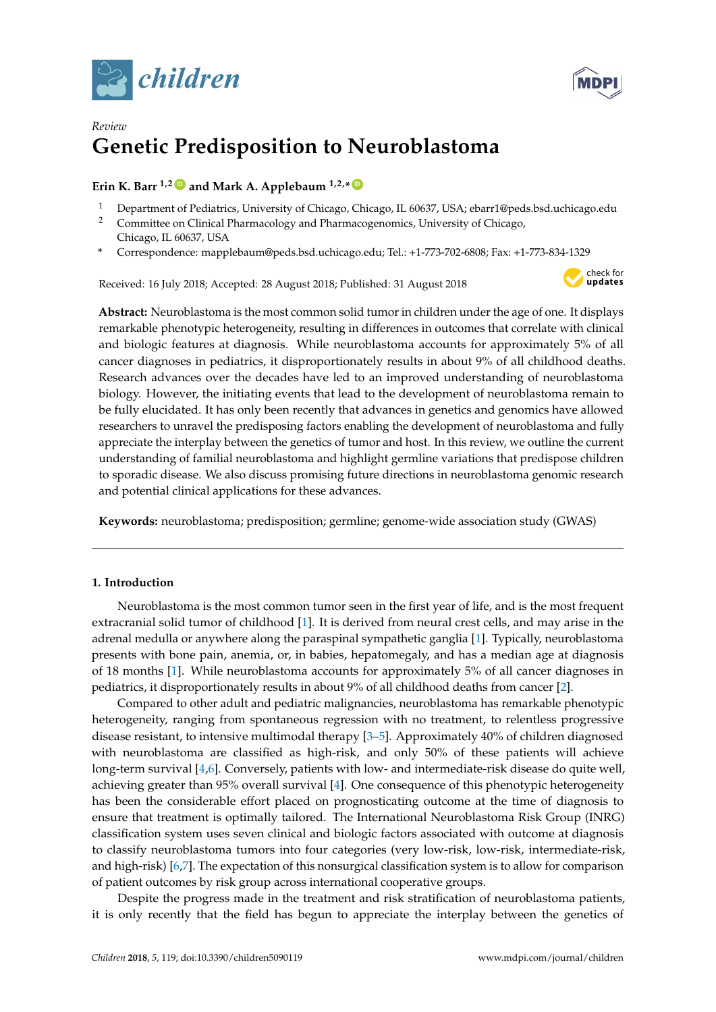



# *Review* **Genetic Predisposition to Neuroblastoma**

## **Erin K. Barr 1,2 [ID](https://orcid.org/0000-0002-9459-0819) and Mark A. Applebaum 1,2,\* [ID](https://orcid.org/0000-0001-9766-8477)**

- 1 Department of Pediatrics, University of Chicago, Chicago, IL 60637, USA; ebarr1@peds.bsd.uchicago.edu
- <sup>2</sup> Committee on Clinical Pharmacology and Pharmacogenomics, University of Chicago, Chicago, IL 60637, USA
- **\*** Correspondence: mapplebaum@peds.bsd.uchicago.edu; Tel.: +1-773-702-6808; Fax: +1-773-834-1329

Received: 16 July 2018; Accepted: 28 August 2018; Published: 31 August 2018



**Abstract:** Neuroblastoma is the most common solid tumor in children under the age of one. It displays remarkable phenotypic heterogeneity, resulting in differences in outcomes that correlate with clinical and biologic features at diagnosis. While neuroblastoma accounts for approximately 5% of all cancer diagnoses in pediatrics, it disproportionately results in about 9% of all childhood deaths. Research advances over the decades have led to an improved understanding of neuroblastoma biology. However, the initiating events that lead to the development of neuroblastoma remain to be fully elucidated. It has only been recently that advances in genetics and genomics have allowed researchers to unravel the predisposing factors enabling the development of neuroblastoma and fully appreciate the interplay between the genetics of tumor and host. In this review, we outline the current understanding of familial neuroblastoma and highlight germline variations that predispose children to sporadic disease. We also discuss promising future directions in neuroblastoma genomic research and potential clinical applications for these advances.

**Keywords:** neuroblastoma; predisposition; germline; genome-wide association study (GWAS)

## **1. Introduction**

Neuroblastoma is the most common tumor seen in the first year of life, and is the most frequent extracranial solid tumor of childhood [\[1\]](#page-10-0). It is derived from neural crest cells, and may arise in the adrenal medulla or anywhere along the paraspinal sympathetic ganglia [\[1\]](#page-10-0). Typically, neuroblastoma presents with bone pain, anemia, or, in babies, hepatomegaly, and has a median age at diagnosis of 18 months [\[1\]](#page-10-0). While neuroblastoma accounts for approximately 5% of all cancer diagnoses in pediatrics, it disproportionately results in about 9% of all childhood deaths from cancer [\[2\]](#page-10-1).

Compared to other adult and pediatric malignancies, neuroblastoma has remarkable phenotypic heterogeneity, ranging from spontaneous regression with no treatment, to relentless progressive disease resistant, to intensive multimodal therapy [\[3](#page-10-2)[–5\]](#page-10-3). Approximately 40% of children diagnosed with neuroblastoma are classified as high-risk, and only 50% of these patients will achieve long-term survival [\[4,](#page-10-4)[6\]](#page-10-5). Conversely, patients with low- and intermediate-risk disease do quite well, achieving greater than 95% overall survival [\[4\]](#page-10-4). One consequence of this phenotypic heterogeneity has been the considerable effort placed on prognosticating outcome at the time of diagnosis to ensure that treatment is optimally tailored. The International Neuroblastoma Risk Group (INRG) classification system uses seven clinical and biologic factors associated with outcome at diagnosis to classify neuroblastoma tumors into four categories (very low-risk, low-risk, intermediate-risk, and high-risk) [\[6](#page-10-5)[,7\]](#page-10-6). The expectation of this nonsurgical classification system is to allow for comparison of patient outcomes by risk group across international cooperative groups.

Despite the progress made in the treatment and risk stratification of neuroblastoma patients, it is only recently that the field has begun to appreciate the interplay between the genetics of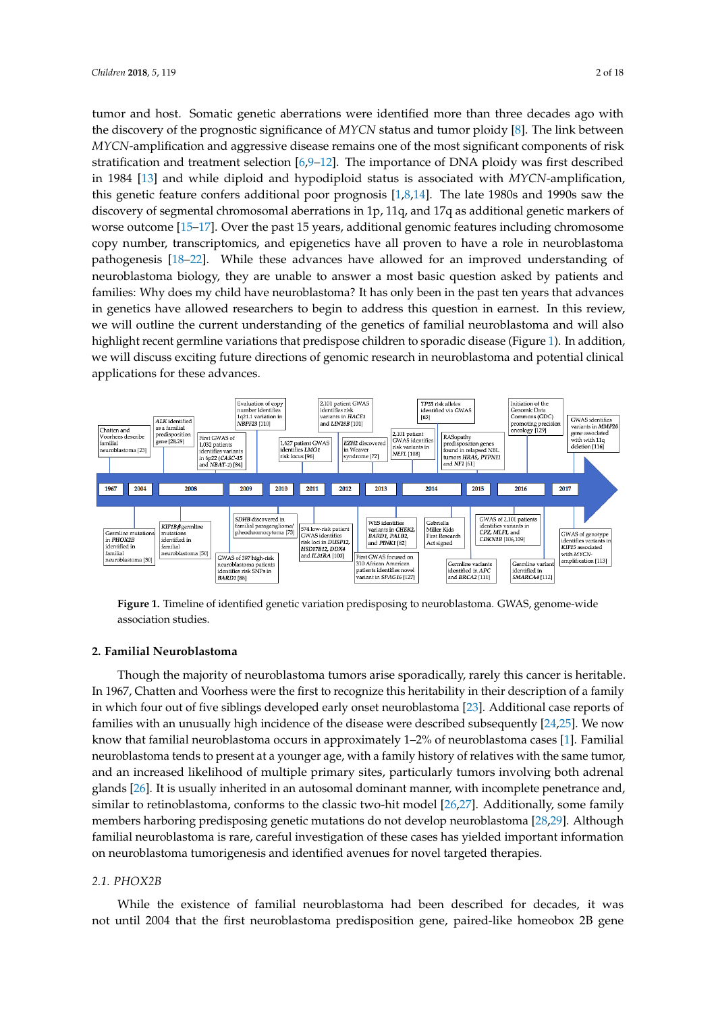tumor and host. Somatic genetic aberrations were identified more than three decades ago with the discovery of the prognostic significance of *MYCN* status and tumor ploidy [\[8\]](#page-10-7). The link between MYCN-amplification and aggressive disease remains one of the most significant components of risk stratification and treatment selection [\[6,](#page-10-5)[9](#page-10-8)[–12\]](#page-10-9). The importance of DNA ploidy was first described in 1984 [\[13\]](#page-11-0) and while diploid and hypodiploid status is associated with *MYCN*-amplification, 1984 [13] and while diploid and hypodiploid status is associated with *MYCN*-amplification, this this genetic feature confers additional poor prognosis [\[1](#page-10-0)[,8](#page-10-7)[,14\]](#page-11-1). The late 1980s and 1990s saw the discovery of segmental chromosomal aberrations in 1p, 11q, and 17q as additional genetic markers of worse outcome [\[15](#page-11-2)[–17\]](#page-11-3). Over the past 15 years, additional genomic features including chromosome copy number, transcriptomics, and epigenetics have all proven to have a role in neuroblastoma number, transcriptomics, and epigenetics have all proven to have a role in neuroblastoma pathogenesis [\[18](#page-11-4)[–22\]](#page-11-5). While these advances have allowed for an improved understanding of pathogenesis [18**–**22]. While these advances have allowed for an improved understanding of neuroblastoma biology, they are unable to answer a most basic question asked by patients and neuroblastoma biology, they are unable to answer a most basic question asked by patients and families: Why does my child have neuroblastoma? It has only been in the past ten years that advances families: Why does my child have neuroblastoma? It has only been in the past ten years that advances in genetics have allowed researchers to begin to address this question in earnest. In this review, in genetics have allowed researchers to begin to address this question in earnest. In this review, we we will outline the current understanding of the genetics of familial neuroblastoma and will also highlight recent germline variations that predispose children to sporadic disease (Figure [1\)](#page-1-0). In addition, we will discuss exciting future directions of genomic research in neuroblastoma and potential clinical applications for these advances. potential clinical applications for these advances.

<span id="page-1-0"></span>

**Figure 1.** Timeline of identified genetic variation predisposing to neuroblastoma. GWAS, genome-**Figure 1.** Timeline of identified genetic variation predisposing to neuroblastoma. GWAS, genome-wide association studies.

## **2. Familial Neuroblastoma 2. Familial Neuroblastoma**

Though the majority of neuroblastoma tumors arise sporadically, rarely this cancer is heritable. Though the majority of neuroblastoma tumors arise sporadically, rarely this cancer is heritable. In 1967, Chatten and Voorhess were the first to recognize this heritability in their description of a In 1967, Chatten and Voorhess were the first to recognize this heritability in their description of a family in which four out of five siblings developed early onset neuro[blas](#page-11-6)toma [23]. Additional case reports of families with an unusually high incidence of the disease were describe[d s](#page-11-7)[ub](#page-11-8)sequently [24,25]. We now know that familial ne[uro](#page-10-0)blastoma occurs in approximately 1–2% of neuroblastoma cases [1]. Familial neuroblastoma tends to present at a younger age, with a family history of relatives with the same tumor, and an increased likelihood of multiple primary sites, particularly tumors involving both adrenal glands [26]. It is usually inherited in an autosomal dominant manner, with incomplete penetrance and, similar to retinoblastoma, conforms t[o th](#page-11-9)[e c](#page-11-10)lassic two-hit model [26,27]. Additionally, some family members harboring predisposing genetic mutations [d](#page-11-11)[o n](#page-11-12)ot develop neuroblastoma [28,29]. Although familial neuroblastoma is rare, careful investigation of these cases has yielded important information on neuroblastoma tumorigenesis and identified avenues for novel targeted therapies.

## *2.1. PHOX2B*

While the existence of familial neuroblastoma had been described for decades, it was not until 2004 that the first neuroblastoma predisposition gene, paired-like homeobox 2B gene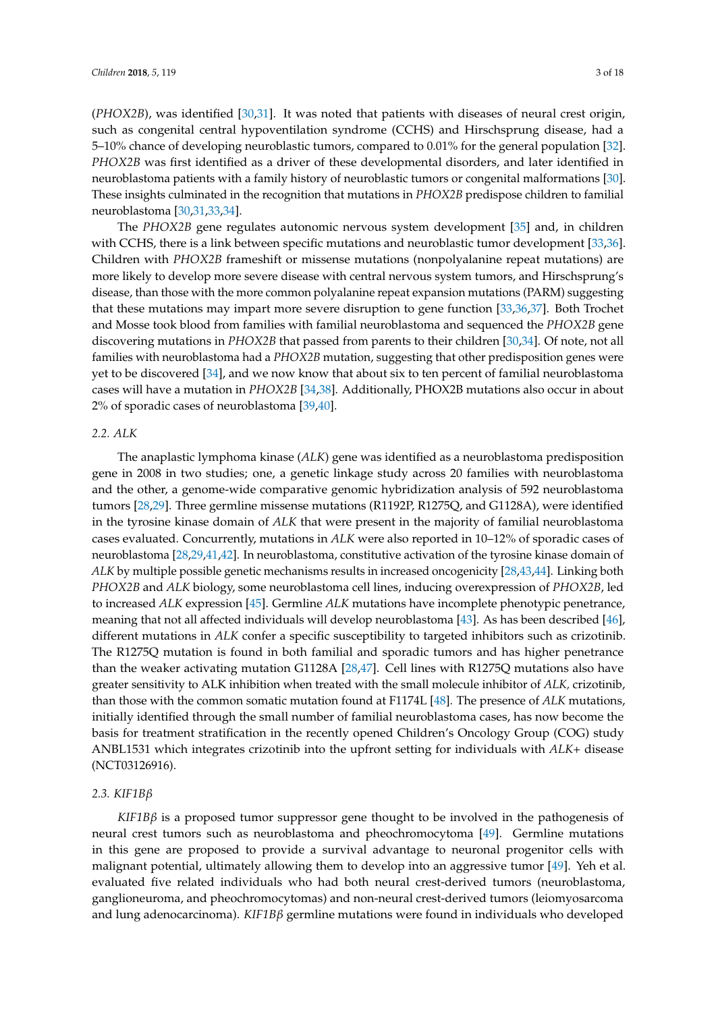(*PHOX2B*), was identified [\[30,](#page-11-13)[31\]](#page-11-14). It was noted that patients with diseases of neural crest origin, such as congenital central hypoventilation syndrome (CCHS) and Hirschsprung disease, had a 5–10% chance of developing neuroblastic tumors, compared to 0.01% for the general population [\[32\]](#page-11-15). *PHOX2B* was first identified as a driver of these developmental disorders, and later identified in neuroblastoma patients with a family history of neuroblastic tumors or congenital malformations [\[30\]](#page-11-13). These insights culminated in the recognition that mutations in *PHOX2B* predispose children to familial neuroblastoma [\[30,](#page-11-13)[31,](#page-11-14)[33,](#page-12-0)[34\]](#page-12-1).

The *PHOX2B* gene regulates autonomic nervous system development [\[35\]](#page-12-2) and, in children with CCHS, there is a link between specific mutations and neuroblastic tumor development [\[33,](#page-12-0)[36\]](#page-12-3). Children with *PHOX2B* frameshift or missense mutations (nonpolyalanine repeat mutations) are more likely to develop more severe disease with central nervous system tumors, and Hirschsprung's disease, than those with the more common polyalanine repeat expansion mutations (PARM) suggesting that these mutations may impart more severe disruption to gene function [\[33,](#page-12-0)[36,](#page-12-3)[37\]](#page-12-4). Both Trochet and Mosse took blood from families with familial neuroblastoma and sequenced the *PHOX2B* gene discovering mutations in *PHOX2B* that passed from parents to their children [\[30](#page-11-13)[,34\]](#page-12-1). Of note, not all families with neuroblastoma had a *PHOX2B* mutation, suggesting that other predisposition genes were yet to be discovered [\[34\]](#page-12-1), and we now know that about six to ten percent of familial neuroblastoma cases will have a mutation in *PHOX2B* [\[34](#page-12-1)[,38\]](#page-12-5). Additionally, PHOX2B mutations also occur in about 2% of sporadic cases of neuroblastoma [\[39,](#page-12-6)[40\]](#page-12-7).

### *2.2. ALK*

The anaplastic lymphoma kinase (*ALK*) gene was identified as a neuroblastoma predisposition gene in 2008 in two studies; one, a genetic linkage study across 20 families with neuroblastoma and the other, a genome-wide comparative genomic hybridization analysis of 592 neuroblastoma tumors [\[28](#page-11-11)[,29\]](#page-11-12). Three germline missense mutations (R1192P, R1275Q, and G1128A), were identified in the tyrosine kinase domain of *ALK* that were present in the majority of familial neuroblastoma cases evaluated. Concurrently, mutations in *ALK* were also reported in 10–12% of sporadic cases of neuroblastoma [\[28,](#page-11-11)[29](#page-11-12)[,41](#page-12-8)[,42\]](#page-12-9). In neuroblastoma, constitutive activation of the tyrosine kinase domain of *ALK* by multiple possible genetic mechanisms results in increased oncogenicity [\[28,](#page-11-11)[43,](#page-12-10)[44\]](#page-12-11). Linking both *PHOX2B* and *ALK* biology, some neuroblastoma cell lines, inducing overexpression of *PHOX2B*, led to increased *ALK* expression [\[45\]](#page-12-12). Germline *ALK* mutations have incomplete phenotypic penetrance, meaning that not all affected individuals will develop neuroblastoma [\[43\]](#page-12-10). As has been described [\[46\]](#page-12-13), different mutations in *ALK* confer a specific susceptibility to targeted inhibitors such as crizotinib. The R1275Q mutation is found in both familial and sporadic tumors and has higher penetrance than the weaker activating mutation G1128A [\[28](#page-11-11)[,47\]](#page-12-14). Cell lines with R1275Q mutations also have greater sensitivity to ALK inhibition when treated with the small molecule inhibitor of *ALK,* crizotinib, than those with the common somatic mutation found at F1174L [\[48\]](#page-12-15). The presence of *ALK* mutations, initially identified through the small number of familial neuroblastoma cases, has now become the basis for treatment stratification in the recently opened Children's Oncology Group (COG) study ANBL1531 which integrates crizotinib into the upfront setting for individuals with *ALK*+ disease (NCT03126916).

## *2.3. KIF1Bβ*

*KIF1Bβ* is a proposed tumor suppressor gene thought to be involved in the pathogenesis of neural crest tumors such as neuroblastoma and pheochromocytoma [\[49\]](#page-12-16). Germline mutations in this gene are proposed to provide a survival advantage to neuronal progenitor cells with malignant potential, ultimately allowing them to develop into an aggressive tumor [\[49\]](#page-12-16). Yeh et al. evaluated five related individuals who had both neural crest-derived tumors (neuroblastoma, ganglioneuroma, and pheochromocytomas) and non-neural crest-derived tumors (leiomyosarcoma and lung adenocarcinoma). *KIF1Bβ* germline mutations were found in individuals who developed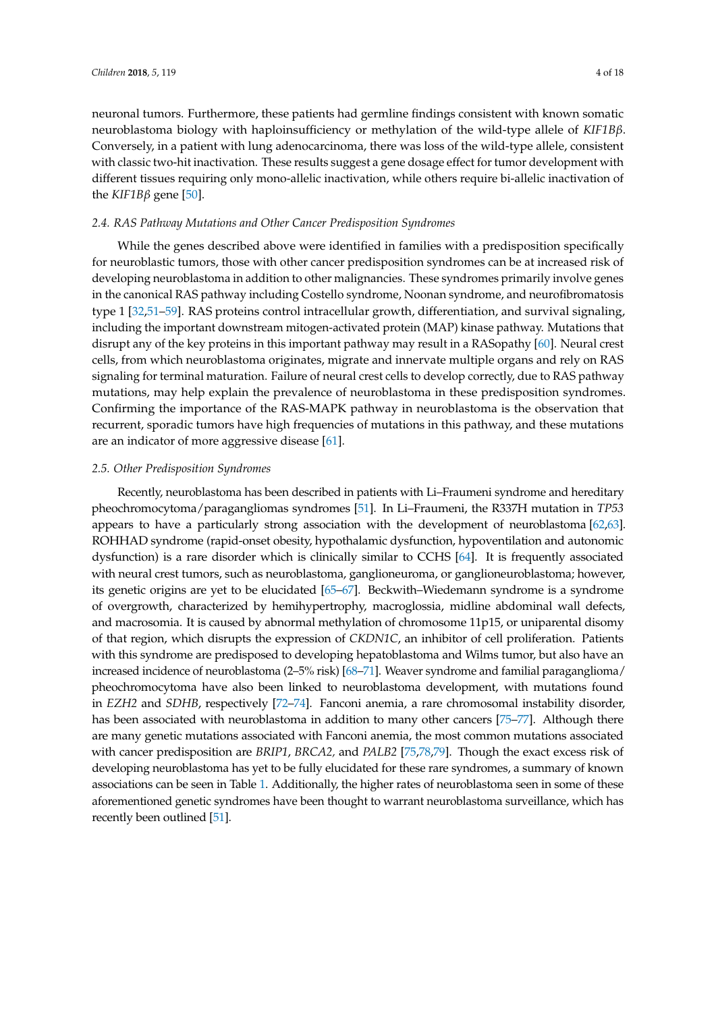neuronal tumors. Furthermore, these patients had germline findings consistent with known somatic neuroblastoma biology with haploinsufficiency or methylation of the wild-type allele of *KIF1Bβ*. Conversely, in a patient with lung adenocarcinoma, there was loss of the wild-type allele, consistent with classic two-hit inactivation. These results suggest a gene dosage effect for tumor development with different tissues requiring only mono-allelic inactivation, while others require bi-allelic inactivation of the *KIF1Bβ* gene [\[50\]](#page-12-17).

## *2.4. RAS Pathway Mutations and Other Cancer Predisposition Syndromes*

While the genes described above were identified in families with a predisposition specifically for neuroblastic tumors, those with other cancer predisposition syndromes can be at increased risk of developing neuroblastoma in addition to other malignancies. These syndromes primarily involve genes in the canonical RAS pathway including Costello syndrome, Noonan syndrome, and neurofibromatosis type 1 [\[32](#page-11-15)[,51](#page-12-18)[–59\]](#page-13-0). RAS proteins control intracellular growth, differentiation, and survival signaling, including the important downstream mitogen-activated protein (MAP) kinase pathway. Mutations that disrupt any of the key proteins in this important pathway may result in a RASopathy [\[60\]](#page-13-1). Neural crest cells, from which neuroblastoma originates, migrate and innervate multiple organs and rely on RAS signaling for terminal maturation. Failure of neural crest cells to develop correctly, due to RAS pathway mutations, may help explain the prevalence of neuroblastoma in these predisposition syndromes. Confirming the importance of the RAS-MAPK pathway in neuroblastoma is the observation that recurrent, sporadic tumors have high frequencies of mutations in this pathway, and these mutations are an indicator of more aggressive disease [\[61\]](#page-13-2).

## *2.5. Other Predisposition Syndromes*

Recently, neuroblastoma has been described in patients with Li–Fraumeni syndrome and hereditary pheochromocytoma/paragangliomas syndromes [\[51\]](#page-12-18). In Li–Fraumeni, the R337H mutation in *TP53* appears to have a particularly strong association with the development of neuroblastoma [\[62](#page-13-3)[,63\]](#page-13-4). ROHHAD syndrome (rapid-onset obesity, hypothalamic dysfunction, hypoventilation and autonomic dysfunction) is a rare disorder which is clinically similar to CCHS [\[64\]](#page-13-5). It is frequently associated with neural crest tumors, such as neuroblastoma, ganglioneuroma, or ganglioneuroblastoma; however, its genetic origins are yet to be elucidated [\[65–](#page-13-6)[67\]](#page-13-7). Beckwith–Wiedemann syndrome is a syndrome of overgrowth, characterized by hemihypertrophy, macroglossia, midline abdominal wall defects, and macrosomia. It is caused by abnormal methylation of chromosome 11p15, or uniparental disomy of that region, which disrupts the expression of *CKDN1C*, an inhibitor of cell proliferation. Patients with this syndrome are predisposed to developing hepatoblastoma and Wilms tumor, but also have an increased incidence of neuroblastoma (2–5% risk) [\[68](#page-13-8)[–71\]](#page-13-9). Weaver syndrome and familial paraganglioma/ pheochromocytoma have also been linked to neuroblastoma development, with mutations found in *EZH2* and *SDHB*, respectively [\[72](#page-13-10)[–74\]](#page-14-0). Fanconi anemia, a rare chromosomal instability disorder, has been associated with neuroblastoma in addition to many other cancers [\[75](#page-14-1)[–77\]](#page-14-2). Although there are many genetic mutations associated with Fanconi anemia, the most common mutations associated with cancer predisposition are *BRIP1*, *BRCA2,* and *PALB2* [\[75,](#page-14-1)[78,](#page-14-3)[79\]](#page-14-4). Though the exact excess risk of developing neuroblastoma has yet to be fully elucidated for these rare syndromes, a summary of known associations can be seen in Table [1.](#page-4-0) Additionally, the higher rates of neuroblastoma seen in some of these aforementioned genetic syndromes have been thought to warrant neuroblastoma surveillance, which has recently been outlined [\[51\]](#page-12-18).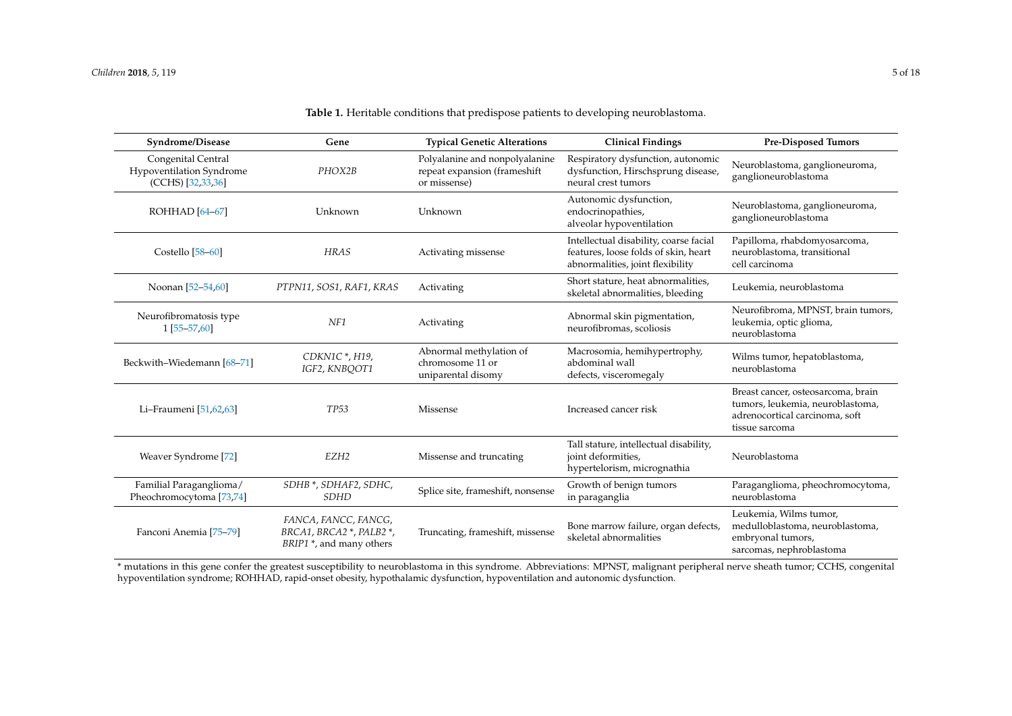| Syndrome/Disease                                                    | Gene                                                                         | <b>Typical Genetic Alterations</b>                                             | <b>Clinical Findings</b>                                                                                           | <b>Pre-Disposed Tumors</b>                                                                                                 |
|---------------------------------------------------------------------|------------------------------------------------------------------------------|--------------------------------------------------------------------------------|--------------------------------------------------------------------------------------------------------------------|----------------------------------------------------------------------------------------------------------------------------|
| Congenital Central<br>Hypoventilation Syndrome<br>(CCHS) [32,33,36] | PHOX2B                                                                       | Polyalanine and nonpolyalanine<br>repeat expansion (frameshift<br>or missense) | Respiratory dysfunction, autonomic<br>dysfunction, Hirschsprung disease,<br>neural crest tumors                    | Neuroblastoma, ganglioneuroma,<br>ganglioneuroblastoma                                                                     |
| <b>ROHHAD</b> [64-67]                                               | Unknown                                                                      | Unknown                                                                        | Autonomic dysfunction,<br>endocrinopathies,<br>alveolar hypoventilation                                            | Neuroblastoma, ganglioneuroma,<br>ganglioneuroblastoma                                                                     |
| Costello [58-60]                                                    | <b>HRAS</b>                                                                  | Activating missense                                                            | Intellectual disability, coarse facial<br>features, loose folds of skin, heart<br>abnormalities, joint flexibility | Papilloma, rhabdomyosarcoma,<br>neuroblastoma, transitional<br>cell carcinoma                                              |
| Noonan [52-54,60]                                                   | PTPN11, SOS1, RAF1, KRAS                                                     | Activating                                                                     | Short stature, heat abnormalities,<br>skeletal abnormalities, bleeding                                             | Leukemia, neuroblastoma                                                                                                    |
| Neurofibromatosis type<br>$1[55 - 57, 60]$                          | NF <sub>1</sub>                                                              | Activating                                                                     | Abnormal skin pigmentation,<br>neurofibromas, scoliosis                                                            | Neurofibroma, MPNST, brain tumors,<br>leukemia, optic glioma,<br>neuroblastoma                                             |
| Beckwith-Wiedemann [68-71]                                          | CDKN1C*, H19,<br>IGF2, KNBOOT1                                               | Abnormal methylation of<br>chromosome 11 or<br>uniparental disomy              | Macrosomia, hemihypertrophy,<br>abdominal wall<br>defects, visceromegaly                                           | Wilms tumor, hepatoblastoma,<br>neuroblastoma                                                                              |
| Li-Fraumeni [51,62,63]                                              | <b>TP53</b>                                                                  | Missense                                                                       | Increased cancer risk                                                                                              | Breast cancer, osteosarcoma, brain<br>tumors, leukemia, neuroblastoma,<br>adrenocortical carcinoma, soft<br>tissue sarcoma |
| Weaver Syndrome [72]                                                | EZH <sub>2</sub>                                                             | Missense and truncating                                                        | Tall stature, intellectual disability,<br>joint deformities,<br>hypertelorism, micrognathia                        | Neuroblastoma                                                                                                              |
| Familial Paraganglioma/<br>Pheochromocytoma [73,74]                 | SDHB *, SDHAF2, SDHC,<br><b>SDHD</b>                                         | Splice site, frameshift, nonsense                                              | Growth of benign tumors<br>in paraganglia                                                                          | Paraganglioma, pheochromocytoma,<br>neuroblastoma                                                                          |
| Fanconi Anemia [75-79]                                              | FANCA, FANCC, FANCG,<br>BRCA1, BRCA2 *, PALB2 *,<br>BRIP1 *, and many others | Truncating, frameshift, missense                                               | Bone marrow failure, organ defects,<br>skeletal abnormalities                                                      | Leukemia, Wilms tumor,<br>medulloblastoma, neuroblastoma,<br>embryonal tumors,<br>sarcomas, nephroblastoma                 |

**Table 1.** Heritable conditions that predispose patients to developing neuroblastoma.

<span id="page-4-0"></span>\* mutations in this gene confer the greatest susceptibility to neuroblastoma in this syndrome. Abbreviations: MPNST, malignant peripheral nerve sheath tumor; CCHS, congenital hypoventilation syndrome; ROHHAD, rapid-onset obesity, hypothalamic dysfunction, hypoventilation and autonomic dysfunction.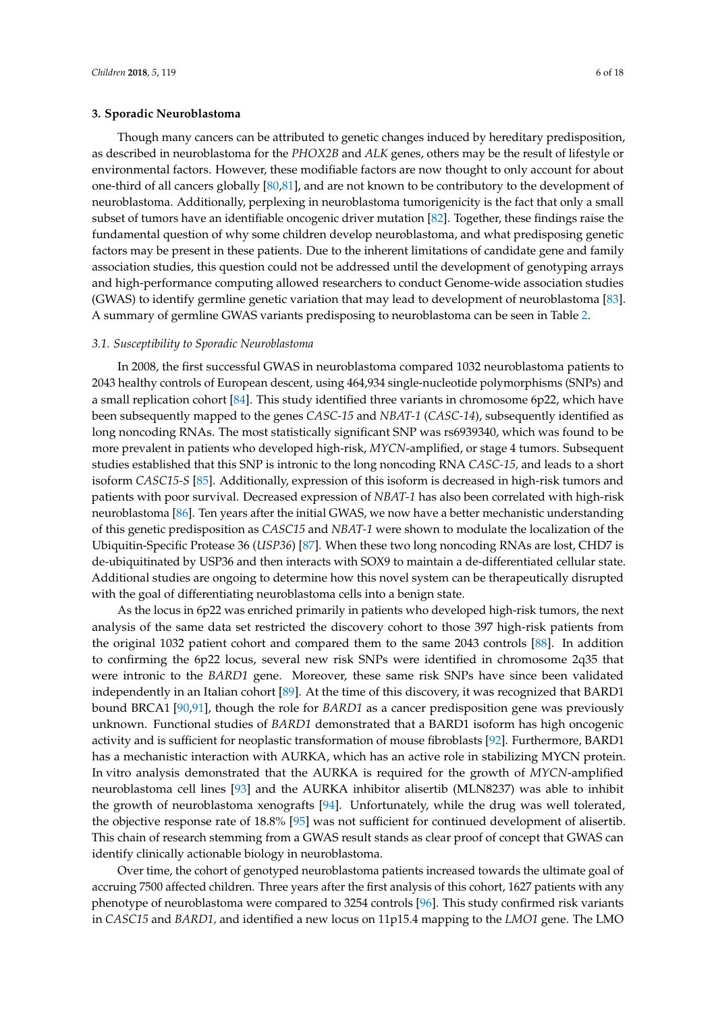Though many cancers can be attributed to genetic changes induced by hereditary predisposition, as described in neuroblastoma for the *PHOX2B* and *ALK* genes, others may be the result of lifestyle or environmental factors. However, these modifiable factors are now thought to only account for about one-third of all cancers globally [\[80](#page-14-9)[,81\]](#page-14-10), and are not known to be contributory to the development of neuroblastoma. Additionally, perplexing in neuroblastoma tumorigenicity is the fact that only a small subset of tumors have an identifiable oncogenic driver mutation [\[82\]](#page-14-11). Together, these findings raise the fundamental question of why some children develop neuroblastoma, and what predisposing genetic factors may be present in these patients. Due to the inherent limitations of candidate gene and family association studies, this question could not be addressed until the development of genotyping arrays and high-performance computing allowed researchers to conduct Genome-wide association studies (GWAS) to identify germline genetic variation that may lead to development of neuroblastoma [\[83\]](#page-14-12). A summary of germline GWAS variants predisposing to neuroblastoma can be seen in Table [2.](#page-7-0)

#### *3.1. Susceptibility to Sporadic Neuroblastoma*

In 2008, the first successful GWAS in neuroblastoma compared 1032 neuroblastoma patients to 2043 healthy controls of European descent, using 464,934 single-nucleotide polymorphisms (SNPs) and a small replication cohort [\[84\]](#page-14-13). This study identified three variants in chromosome 6p22, which have been subsequently mapped to the genes *CASC-15* and *NBAT-1* (*CASC-14*), subsequently identified as long noncoding RNAs. The most statistically significant SNP was rs6939340, which was found to be more prevalent in patients who developed high-risk, *MYCN*-amplified, or stage 4 tumors. Subsequent studies established that this SNP is intronic to the long noncoding RNA *CASC-15,* and leads to a short isoform *CASC15-S* [\[85\]](#page-14-14). Additionally, expression of this isoform is decreased in high-risk tumors and patients with poor survival. Decreased expression of *NBAT-1* has also been correlated with high-risk neuroblastoma [\[86\]](#page-14-15). Ten years after the initial GWAS, we now have a better mechanistic understanding of this genetic predisposition as *CASC15* and *NBAT-1* were shown to modulate the localization of the Ubiquitin-Specific Protease 36 (*USP36*) [\[87\]](#page-14-16). When these two long noncoding RNAs are lost, CHD7 is de-ubiquitinated by USP36 and then interacts with SOX9 to maintain a de-differentiated cellular state. Additional studies are ongoing to determine how this novel system can be therapeutically disrupted with the goal of differentiating neuroblastoma cells into a benign state.

As the locus in 6p22 was enriched primarily in patients who developed high-risk tumors, the next analysis of the same data set restricted the discovery cohort to those 397 high-risk patients from the original 1032 patient cohort and compared them to the same 2043 controls [\[88\]](#page-14-17). In addition to confirming the 6p22 locus, several new risk SNPs were identified in chromosome 2q35 that were intronic to the *BARD1* gene. Moreover, these same risk SNPs have since been validated independently in an Italian cohort [\[89\]](#page-14-18). At the time of this discovery, it was recognized that BARD1 bound BRCA1 [\[90](#page-14-19)[,91\]](#page-14-20), though the role for *BARD1* as a cancer predisposition gene was previously unknown. Functional studies of *BARD1* demonstrated that a BARD1 isoform has high oncogenic activity and is sufficient for neoplastic transformation of mouse fibroblasts [\[92\]](#page-15-0). Furthermore, BARD1 has a mechanistic interaction with AURKA, which has an active role in stabilizing MYCN protein. In vitro analysis demonstrated that the AURKA is required for the growth of *MYCN*-amplified neuroblastoma cell lines [\[93\]](#page-15-1) and the AURKA inhibitor alisertib (MLN8237) was able to inhibit the growth of neuroblastoma xenografts [\[94\]](#page-15-2). Unfortunately, while the drug was well tolerated, the objective response rate of 18.8% [\[95\]](#page-15-3) was not sufficient for continued development of alisertib. This chain of research stemming from a GWAS result stands as clear proof of concept that GWAS can identify clinically actionable biology in neuroblastoma.

Over time, the cohort of genotyped neuroblastoma patients increased towards the ultimate goal of accruing 7500 affected children. Three years after the first analysis of this cohort, 1627 patients with any phenotype of neuroblastoma were compared to 3254 controls [\[96\]](#page-15-4). This study confirmed risk variants in *CASC15* and *BARD1,* and identified a new locus on 11p15.4 mapping to the *LMO1* gene. The LMO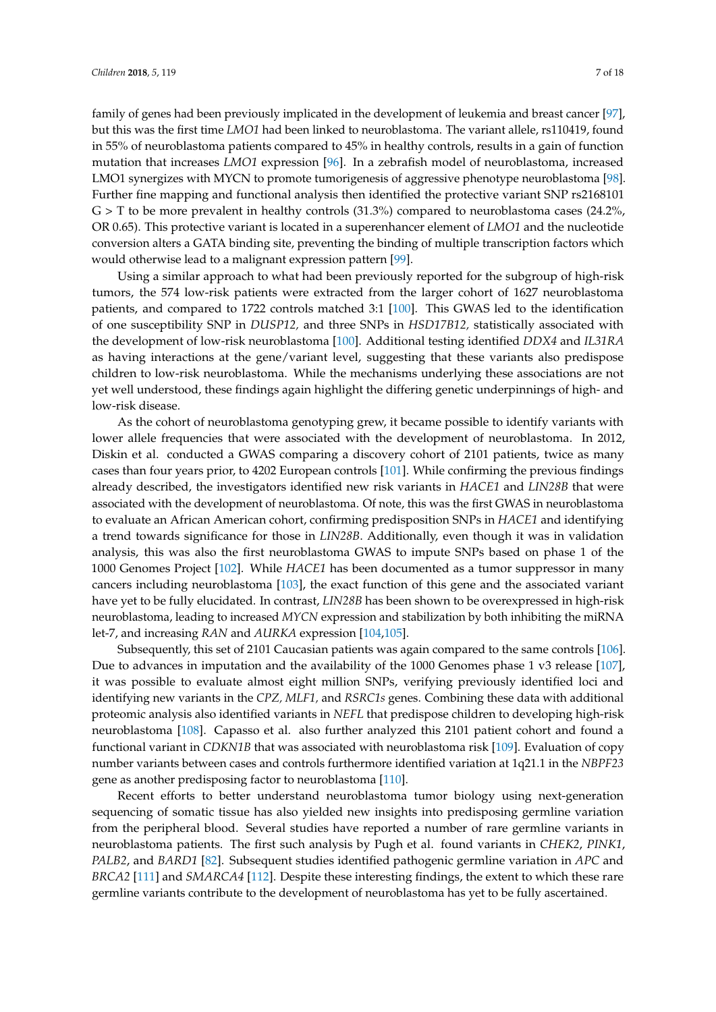family of genes had been previously implicated in the development of leukemia and breast cancer [\[97\]](#page-15-5), but this was the first time *LMO1* had been linked to neuroblastoma. The variant allele, rs110419, found in 55% of neuroblastoma patients compared to 45% in healthy controls, results in a gain of function mutation that increases *LMO1* expression [\[96\]](#page-15-4). In a zebrafish model of neuroblastoma, increased LMO1 synergizes with MYCN to promote tumorigenesis of aggressive phenotype neuroblastoma [\[98\]](#page-15-6). Further fine mapping and functional analysis then identified the protective variant SNP rs2168101  $G > T$  to be more prevalent in healthy controls (31.3%) compared to neuroblastoma cases (24.2%, OR 0.65). This protective variant is located in a superenhancer element of *LMO1* and the nucleotide conversion alters a GATA binding site, preventing the binding of multiple transcription factors which would otherwise lead to a malignant expression pattern [\[99\]](#page-15-7).

Using a similar approach to what had been previously reported for the subgroup of high-risk tumors, the 574 low-risk patients were extracted from the larger cohort of 1627 neuroblastoma patients, and compared to 1722 controls matched 3:1 [\[100\]](#page-15-8). This GWAS led to the identification of one susceptibility SNP in *DUSP12,* and three SNPs in *HSD17B12,* statistically associated with the development of low-risk neuroblastoma [\[100\]](#page-15-8). Additional testing identified *DDX4* and *IL31RA* as having interactions at the gene/variant level, suggesting that these variants also predispose children to low-risk neuroblastoma. While the mechanisms underlying these associations are not yet well understood, these findings again highlight the differing genetic underpinnings of high- and low-risk disease.

As the cohort of neuroblastoma genotyping grew, it became possible to identify variants with lower allele frequencies that were associated with the development of neuroblastoma. In 2012, Diskin et al. conducted a GWAS comparing a discovery cohort of 2101 patients, twice as many cases than four years prior, to 4202 European controls [\[101\]](#page-15-9). While confirming the previous findings already described, the investigators identified new risk variants in *HACE1* and *LIN28B* that were associated with the development of neuroblastoma. Of note, this was the first GWAS in neuroblastoma to evaluate an African American cohort, confirming predisposition SNPs in *HACE1* and identifying a trend towards significance for those in *LIN28B*. Additionally, even though it was in validation analysis, this was also the first neuroblastoma GWAS to impute SNPs based on phase 1 of the 1000 Genomes Project [\[102\]](#page-15-10). While *HACE1* has been documented as a tumor suppressor in many cancers including neuroblastoma [\[103\]](#page-15-11), the exact function of this gene and the associated variant have yet to be fully elucidated. In contrast, *LIN28B* has been shown to be overexpressed in high-risk neuroblastoma, leading to increased *MYCN* expression and stabilization by both inhibiting the miRNA let-7, and increasing *RAN* and *AURKA* expression [\[104,](#page-15-12)[105\]](#page-15-13).

Subsequently, this set of 2101 Caucasian patients was again compared to the same controls [\[106\]](#page-15-14). Due to advances in imputation and the availability of the 1000 Genomes phase 1 v3 release [\[107\]](#page-15-15), it was possible to evaluate almost eight million SNPs, verifying previously identified loci and identifying new variants in the *CPZ, MLF1,* and *RSRC1s* genes. Combining these data with additional proteomic analysis also identified variants in *NEFL* that predispose children to developing high-risk neuroblastoma [\[108\]](#page-15-16). Capasso et al. also further analyzed this 2101 patient cohort and found a functional variant in *CDKN1B* that was associated with neuroblastoma risk [\[109\]](#page-16-0). Evaluation of copy number variants between cases and controls furthermore identified variation at 1q21.1 in the *NBPF23* gene as another predisposing factor to neuroblastoma [\[110\]](#page-16-1).

Recent efforts to better understand neuroblastoma tumor biology using next-generation sequencing of somatic tissue has also yielded new insights into predisposing germline variation from the peripheral blood. Several studies have reported a number of rare germline variants in neuroblastoma patients. The first such analysis by Pugh et al. found variants in *CHEK2*, *PINK1*, *PALB2*, and *BARD1* [\[82\]](#page-14-11). Subsequent studies identified pathogenic germline variation in *APC* and *BRCA2* [\[111\]](#page-16-2) and *SMARCA4* [\[112\]](#page-16-3). Despite these interesting findings, the extent to which these rare germline variants contribute to the development of neuroblastoma has yet to be fully ascertained.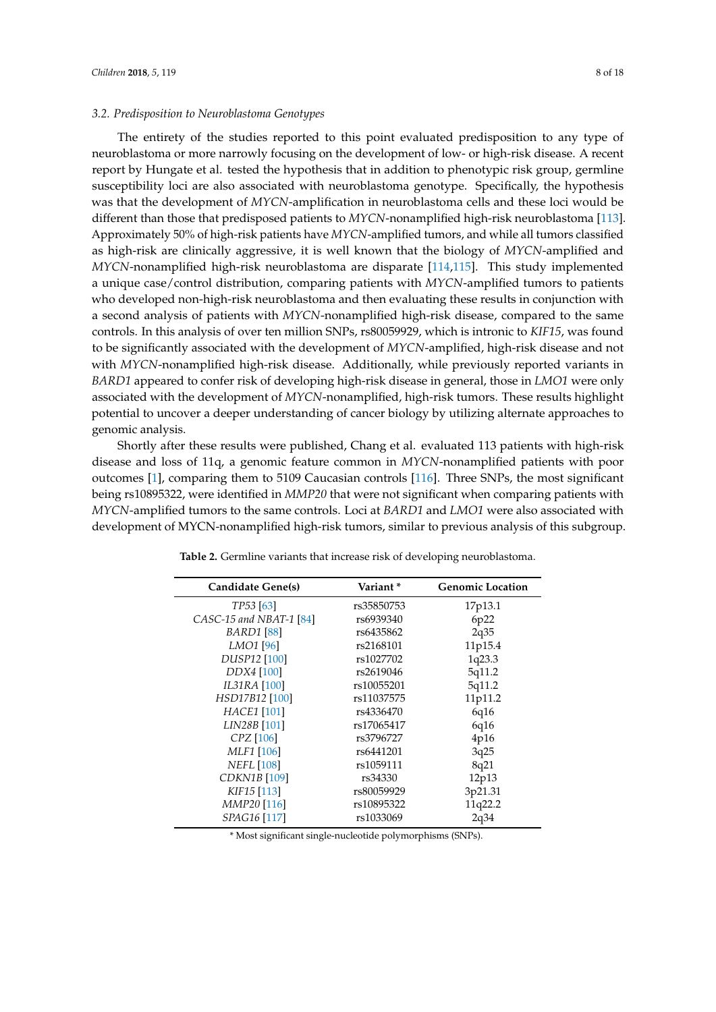genomic analysis.

## *3.2. Predisposition to Neuroblastoma Genotypes*

The entirety of the studies reported to this point evaluated predisposition to any type of neuroblastoma or more narrowly focusing on the development of low- or high-risk disease. A recent report by Hungate et al. tested the hypothesis that in addition to phenotypic risk group, germline susceptibility loci are also associated with neuroblastoma genotype. Specifically, the hypothesis was that the development of *MYCN*-amplification in neuroblastoma cells and these loci would be different than those that predisposed patients to *MYCN*-nonamplified high-risk neuroblastoma [\[113\]](#page-16-4). Approximately 50% of high-risk patients have *MYCN*-amplified tumors, and while all tumors classified as high-risk are clinically aggressive, it is well known that the biology of *MYCN*-amplified and *MYCN*-nonamplified high-risk neuroblastoma are disparate [\[114](#page-16-5)[,115\]](#page-16-6). This study implemented a unique case/control distribution, comparing patients with *MYCN*-amplified tumors to patients who developed non-high-risk neuroblastoma and then evaluating these results in conjunction with a second analysis of patients with *MYCN*-nonamplified high-risk disease, compared to the same controls. In this analysis of over ten million SNPs, rs80059929, which is intronic to *KIF15*, was found to be significantly associated with the development of *MYCN*-amplified, high-risk disease and not with *MYCN*-nonamplified high-risk disease. Additionally, while previously reported variants in *BARD1* appeared to confer risk of developing high-risk disease in general, those in *LMO1* were only associated with the development of *MYCN*-nonamplified, high-risk tumors. These results highlight

Shortly after these results were published, Chang et al. evaluated 113 patients with high-risk disease and loss of 11q, a genomic feature common in *MYCN*-nonamplified patients with poor outcomes [\[1\]](#page-10-0), comparing them to 5109 Caucasian controls [\[116\]](#page-16-7). Three SNPs, the most significant being rs10895322, were identified in *MMP20* that were not significant when comparing patients with *MYCN*-amplified tumors to the same controls. Loci at *BARD1* and *LMO1* were also associated with development of MYCN-nonamplified high-risk tumors, similar to previous analysis of this subgroup.

potential to uncover a deeper understanding of cancer biology by utilizing alternate approaches to

## **Candidate Gene(s) Variant \* Genomic Location** *TP53* [\[63\]](#page-13-4) rs35850753 17p13.1 *CASC-15 and NBAT-1* [\[84\]](#page-14-13) rs6939340 6p22 *BARD1* [\[88\]](#page-14-17) rs6435862 2q35 *LMO1* [\[96\]](#page-15-4) rs2168101 11p15.4<br> *PUSP12* [100] rs1027702 1q23.3 *DUSP12* [\[100\]](#page-15-8) rs1027702 *DDX4* [\[100\]](#page-15-8) rs2619046 5q11.2 *IL31RA* [\[100\]](#page-15-8) rs10055201 5q11.2 *HSD17B12* [\[100\]](#page-15-8) rs11037575 11p11.2 *HACE1* [\[101\]](#page-15-9) rs4336470 6q16 *LIN28B* [\[101\]](#page-15-9) rs17065417 6q16 CPZ [\[106\]](#page-15-14) rs3796727 4p16 *MLF1* [\[106\]](#page-15-14) rs6441201 3q25 *NEFL* [\[108\]](#page-15-16) rs1059111 8q21 CDKN1B [\[109\]](#page-16-0) rs34330 12p13 *KIF15* [\[113\]](#page-16-4) rs80059929 3p21.31 *MMP20* [\[116\]](#page-16-7) rs10895322 11q22.2 *SPAG16* [\[117\]](#page-16-8) rs1033069 2q34

<span id="page-7-0"></span>**Table 2.** Germline variants that increase risk of developing neuroblastoma.

\* Most significant single-nucleotide polymorphisms (SNPs).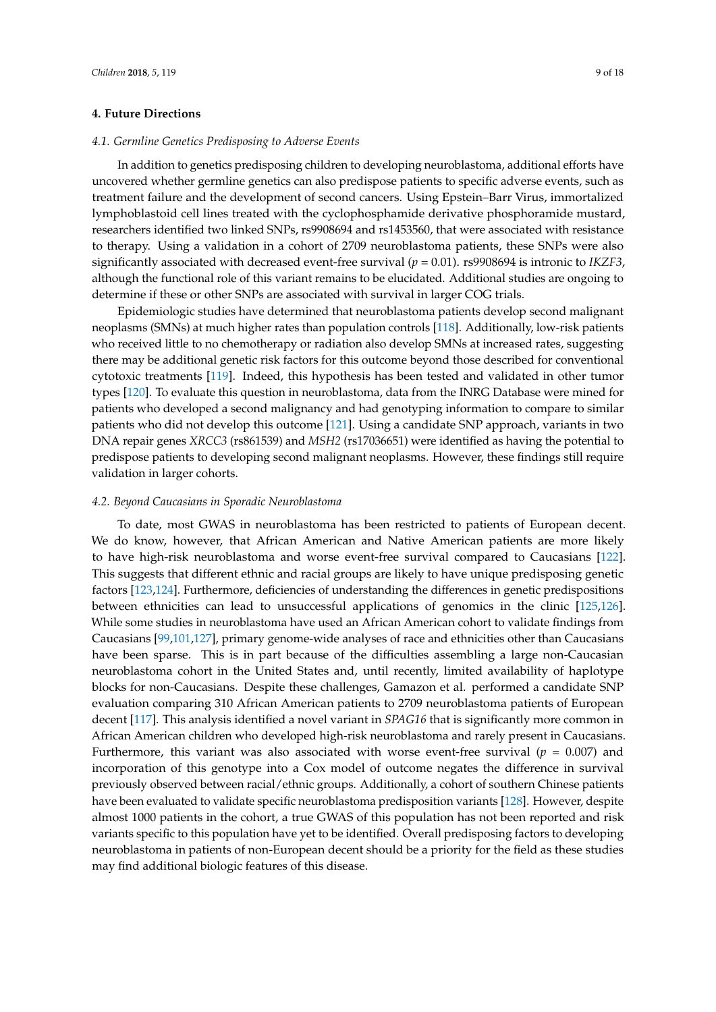## **4. Future Directions**

## *4.1. Germline Genetics Predisposing to Adverse Events*

In addition to genetics predisposing children to developing neuroblastoma, additional efforts have uncovered whether germline genetics can also predispose patients to specific adverse events, such as treatment failure and the development of second cancers. Using Epstein–Barr Virus, immortalized lymphoblastoid cell lines treated with the cyclophosphamide derivative phosphoramide mustard, researchers identified two linked SNPs, rs9908694 and rs1453560, that were associated with resistance to therapy. Using a validation in a cohort of 2709 neuroblastoma patients, these SNPs were also significantly associated with decreased event-free survival (*p* = 0.01). rs9908694 is intronic to *IKZF3*, although the functional role of this variant remains to be elucidated. Additional studies are ongoing to determine if these or other SNPs are associated with survival in larger COG trials.

Epidemiologic studies have determined that neuroblastoma patients develop second malignant neoplasms (SMNs) at much higher rates than population controls [\[118\]](#page-16-9). Additionally, low-risk patients who received little to no chemotherapy or radiation also develop SMNs at increased rates, suggesting there may be additional genetic risk factors for this outcome beyond those described for conventional cytotoxic treatments [\[119\]](#page-16-10). Indeed, this hypothesis has been tested and validated in other tumor types [\[120\]](#page-16-11). To evaluate this question in neuroblastoma, data from the INRG Database were mined for patients who developed a second malignancy and had genotyping information to compare to similar patients who did not develop this outcome [\[121\]](#page-16-12). Using a candidate SNP approach, variants in two DNA repair genes *XRCC3* (rs861539) and *MSH2* (rs17036651) were identified as having the potential to predispose patients to developing second malignant neoplasms. However, these findings still require validation in larger cohorts.

#### *4.2. Beyond Caucasians in Sporadic Neuroblastoma*

To date, most GWAS in neuroblastoma has been restricted to patients of European decent. We do know, however, that African American and Native American patients are more likely to have high-risk neuroblastoma and worse event-free survival compared to Caucasians [\[122\]](#page-16-13). This suggests that different ethnic and racial groups are likely to have unique predisposing genetic factors [\[123](#page-16-14)[,124\]](#page-16-15). Furthermore, deficiencies of understanding the differences in genetic predispositions between ethnicities can lead to unsuccessful applications of genomics in the clinic [\[125,](#page-16-16)[126\]](#page-16-17). While some studies in neuroblastoma have used an African American cohort to validate findings from Caucasians [\[99](#page-15-7)[,101,](#page-15-9)[127\]](#page-17-0), primary genome-wide analyses of race and ethnicities other than Caucasians have been sparse. This is in part because of the difficulties assembling a large non-Caucasian neuroblastoma cohort in the United States and, until recently, limited availability of haplotype blocks for non-Caucasians. Despite these challenges, Gamazon et al. performed a candidate SNP evaluation comparing 310 African American patients to 2709 neuroblastoma patients of European decent [\[117\]](#page-16-8). This analysis identified a novel variant in *SPAG16* that is significantly more common in African American children who developed high-risk neuroblastoma and rarely present in Caucasians. Furthermore, this variant was also associated with worse event-free survival ( $p = 0.007$ ) and incorporation of this genotype into a Cox model of outcome negates the difference in survival previously observed between racial/ethnic groups. Additionally, a cohort of southern Chinese patients have been evaluated to validate specific neuroblastoma predisposition variants [\[128\]](#page-17-1). However, despite almost 1000 patients in the cohort, a true GWAS of this population has not been reported and risk variants specific to this population have yet to be identified. Overall predisposing factors to developing neuroblastoma in patients of non-European decent should be a priority for the field as these studies may find additional biologic features of this disease.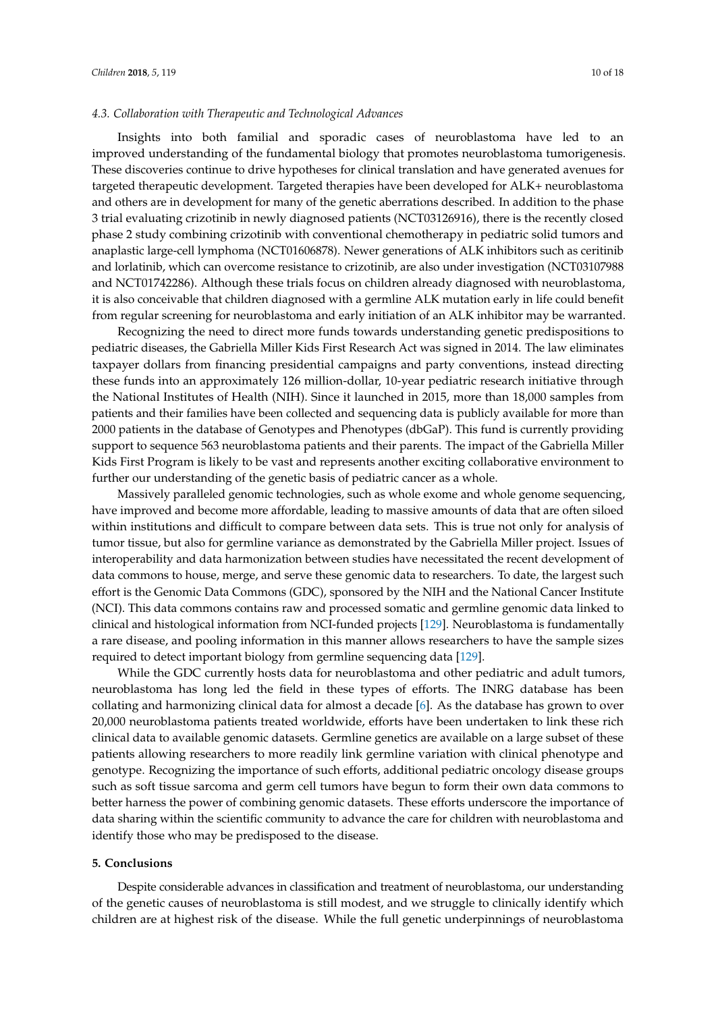## *4.3. Collaboration with Therapeutic and Technological Advances*

Insights into both familial and sporadic cases of neuroblastoma have led to an improved understanding of the fundamental biology that promotes neuroblastoma tumorigenesis. These discoveries continue to drive hypotheses for clinical translation and have generated avenues for targeted therapeutic development. Targeted therapies have been developed for ALK+ neuroblastoma and others are in development for many of the genetic aberrations described. In addition to the phase 3 trial evaluating crizotinib in newly diagnosed patients (NCT03126916), there is the recently closed phase 2 study combining crizotinib with conventional chemotherapy in pediatric solid tumors and anaplastic large-cell lymphoma (NCT01606878). Newer generations of ALK inhibitors such as ceritinib and lorlatinib, which can overcome resistance to crizotinib, are also under investigation (NCT03107988 and NCT01742286). Although these trials focus on children already diagnosed with neuroblastoma, it is also conceivable that children diagnosed with a germline ALK mutation early in life could benefit from regular screening for neuroblastoma and early initiation of an ALK inhibitor may be warranted.

Recognizing the need to direct more funds towards understanding genetic predispositions to pediatric diseases, the Gabriella Miller Kids First Research Act was signed in 2014. The law eliminates taxpayer dollars from financing presidential campaigns and party conventions, instead directing these funds into an approximately 126 million-dollar, 10-year pediatric research initiative through the National Institutes of Health (NIH). Since it launched in 2015, more than 18,000 samples from patients and their families have been collected and sequencing data is publicly available for more than 2000 patients in the database of Genotypes and Phenotypes (dbGaP). This fund is currently providing support to sequence 563 neuroblastoma patients and their parents. The impact of the Gabriella Miller Kids First Program is likely to be vast and represents another exciting collaborative environment to further our understanding of the genetic basis of pediatric cancer as a whole.

Massively paralleled genomic technologies, such as whole exome and whole genome sequencing, have improved and become more affordable, leading to massive amounts of data that are often siloed within institutions and difficult to compare between data sets. This is true not only for analysis of tumor tissue, but also for germline variance as demonstrated by the Gabriella Miller project. Issues of interoperability and data harmonization between studies have necessitated the recent development of data commons to house, merge, and serve these genomic data to researchers. To date, the largest such effort is the Genomic Data Commons (GDC), sponsored by the NIH and the National Cancer Institute (NCI). This data commons contains raw and processed somatic and germline genomic data linked to clinical and histological information from NCI-funded projects [\[129\]](#page-17-2). Neuroblastoma is fundamentally a rare disease, and pooling information in this manner allows researchers to have the sample sizes required to detect important biology from germline sequencing data [\[129\]](#page-17-2).

While the GDC currently hosts data for neuroblastoma and other pediatric and adult tumors, neuroblastoma has long led the field in these types of efforts. The INRG database has been collating and harmonizing clinical data for almost a decade [\[6\]](#page-10-5). As the database has grown to over 20,000 neuroblastoma patients treated worldwide, efforts have been undertaken to link these rich clinical data to available genomic datasets. Germline genetics are available on a large subset of these patients allowing researchers to more readily link germline variation with clinical phenotype and genotype. Recognizing the importance of such efforts, additional pediatric oncology disease groups such as soft tissue sarcoma and germ cell tumors have begun to form their own data commons to better harness the power of combining genomic datasets. These efforts underscore the importance of data sharing within the scientific community to advance the care for children with neuroblastoma and identify those who may be predisposed to the disease.

## **5. Conclusions**

Despite considerable advances in classification and treatment of neuroblastoma, our understanding of the genetic causes of neuroblastoma is still modest, and we struggle to clinically identify which children are at highest risk of the disease. While the full genetic underpinnings of neuroblastoma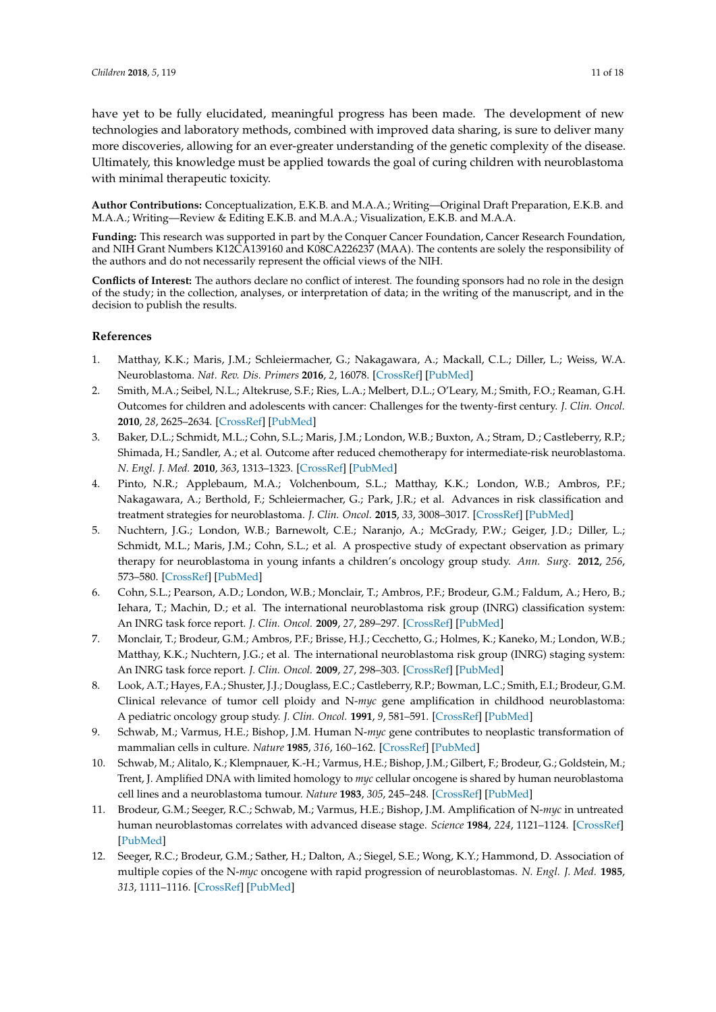have yet to be fully elucidated, meaningful progress has been made. The development of new technologies and laboratory methods, combined with improved data sharing, is sure to deliver many more discoveries, allowing for an ever-greater understanding of the genetic complexity of the disease. Ultimately, this knowledge must be applied towards the goal of curing children with neuroblastoma with minimal therapeutic toxicity.

**Author Contributions:** Conceptualization, E.K.B. and M.A.A.; Writing—Original Draft Preparation, E.K.B. and M.A.A.; Writing—Review & Editing E.K.B. and M.A.A.; Visualization, E.K.B. and M.A.A.

**Funding:** This research was supported in part by the Conquer Cancer Foundation, Cancer Research Foundation, and NIH Grant Numbers K12CA139160 and K08CA226237 (MAA). The contents are solely the responsibility of the authors and do not necessarily represent the official views of the NIH.

**Conflicts of Interest:** The authors declare no conflict of interest. The founding sponsors had no role in the design of the study; in the collection, analyses, or interpretation of data; in the writing of the manuscript, and in the decision to publish the results.

## **References**

- <span id="page-10-0"></span>1. Matthay, K.K.; Maris, J.M.; Schleiermacher, G.; Nakagawara, A.; Mackall, C.L.; Diller, L.; Weiss, W.A. Neuroblastoma. *Nat. Rev. Dis. Primers* **2016**, *2*, 16078. [\[CrossRef\]](http://dx.doi.org/10.1038/nrdp.2016.78) [\[PubMed\]](http://www.ncbi.nlm.nih.gov/pubmed/27830764)
- <span id="page-10-1"></span>2. Smith, M.A.; Seibel, N.L.; Altekruse, S.F.; Ries, L.A.; Melbert, D.L.; O'Leary, M.; Smith, F.O.; Reaman, G.H. Outcomes for children and adolescents with cancer: Challenges for the twenty-first century. *J. Clin. Oncol.* **2010**, *28*, 2625–2634. [\[CrossRef\]](http://dx.doi.org/10.1200/JCO.2009.27.0421) [\[PubMed\]](http://www.ncbi.nlm.nih.gov/pubmed/20404250)
- <span id="page-10-2"></span>3. Baker, D.L.; Schmidt, M.L.; Cohn, S.L.; Maris, J.M.; London, W.B.; Buxton, A.; Stram, D.; Castleberry, R.P.; Shimada, H.; Sandler, A.; et al. Outcome after reduced chemotherapy for intermediate-risk neuroblastoma. *N. Engl. J. Med.* **2010**, *363*, 1313–1323. [\[CrossRef\]](http://dx.doi.org/10.1056/NEJMoa1001527) [\[PubMed\]](http://www.ncbi.nlm.nih.gov/pubmed/20879880)
- <span id="page-10-4"></span>4. Pinto, N.R.; Applebaum, M.A.; Volchenboum, S.L.; Matthay, K.K.; London, W.B.; Ambros, P.F.; Nakagawara, A.; Berthold, F.; Schleiermacher, G.; Park, J.R.; et al. Advances in risk classification and treatment strategies for neuroblastoma. *J. Clin. Oncol.* **2015**, *33*, 3008–3017. [\[CrossRef\]](http://dx.doi.org/10.1200/JCO.2014.59.4648) [\[PubMed\]](http://www.ncbi.nlm.nih.gov/pubmed/26304901)
- <span id="page-10-3"></span>5. Nuchtern, J.G.; London, W.B.; Barnewolt, C.E.; Naranjo, A.; McGrady, P.W.; Geiger, J.D.; Diller, L.; Schmidt, M.L.; Maris, J.M.; Cohn, S.L.; et al. A prospective study of expectant observation as primary therapy for neuroblastoma in young infants a children's oncology group study. *Ann. Surg.* **2012**, *256*, 573–580. [\[CrossRef\]](http://dx.doi.org/10.1097/SLA.0b013e31826cbbbd) [\[PubMed\]](http://www.ncbi.nlm.nih.gov/pubmed/22964741)
- <span id="page-10-5"></span>6. Cohn, S.L.; Pearson, A.D.; London, W.B.; Monclair, T.; Ambros, P.F.; Brodeur, G.M.; Faldum, A.; Hero, B.; Iehara, T.; Machin, D.; et al. The international neuroblastoma risk group (INRG) classification system: An INRG task force report. *J. Clin. Oncol.* **2009**, *27*, 289–297. [\[CrossRef\]](http://dx.doi.org/10.1200/JCO.2008.16.6785) [\[PubMed\]](http://www.ncbi.nlm.nih.gov/pubmed/19047291)
- <span id="page-10-6"></span>7. Monclair, T.; Brodeur, G.M.; Ambros, P.F.; Brisse, H.J.; Cecchetto, G.; Holmes, K.; Kaneko, M.; London, W.B.; Matthay, K.K.; Nuchtern, J.G.; et al. The international neuroblastoma risk group (INRG) staging system: An INRG task force report. *J. Clin. Oncol.* **2009**, *27*, 298–303. [\[CrossRef\]](http://dx.doi.org/10.1200/JCO.2008.16.6876) [\[PubMed\]](http://www.ncbi.nlm.nih.gov/pubmed/19047290)
- <span id="page-10-7"></span>8. Look, A.T.; Hayes, F.A.; Shuster, J.J.; Douglass, E.C.; Castleberry, R.P.; Bowman, L.C.; Smith, E.I.; Brodeur, G.M. Clinical relevance of tumor cell ploidy and N-*myc* gene amplification in childhood neuroblastoma: A pediatric oncology group study. *J. Clin. Oncol.* **1991**, *9*, 581–591. [\[CrossRef\]](http://dx.doi.org/10.1200/JCO.1991.9.4.581) [\[PubMed\]](http://www.ncbi.nlm.nih.gov/pubmed/2066755)
- <span id="page-10-8"></span>9. Schwab, M.; Varmus, H.E.; Bishop, J.M. Human N-*myc* gene contributes to neoplastic transformation of mammalian cells in culture. *Nature* **1985**, *316*, 160–162. [\[CrossRef\]](http://dx.doi.org/10.1038/316160a0) [\[PubMed\]](http://www.ncbi.nlm.nih.gov/pubmed/4040214)
- 10. Schwab, M.; Alitalo, K.; Klempnauer, K.-H.; Varmus, H.E.; Bishop, J.M.; Gilbert, F.; Brodeur, G.; Goldstein, M.; Trent, J. Amplified DNA with limited homology to *myc* cellular oncogene is shared by human neuroblastoma cell lines and a neuroblastoma tumour. *Nature* **1983**, *305*, 245–248. [\[CrossRef\]](http://dx.doi.org/10.1038/305245a0) [\[PubMed\]](http://www.ncbi.nlm.nih.gov/pubmed/6888561)
- 11. Brodeur, G.M.; Seeger, R.C.; Schwab, M.; Varmus, H.E.; Bishop, J.M. Amplification of N-*myc* in untreated human neuroblastomas correlates with advanced disease stage. *Science* **1984**, *224*, 1121–1124. [\[CrossRef\]](http://dx.doi.org/10.1126/science.6719137) [\[PubMed\]](http://www.ncbi.nlm.nih.gov/pubmed/6719137)
- <span id="page-10-9"></span>12. Seeger, R.C.; Brodeur, G.M.; Sather, H.; Dalton, A.; Siegel, S.E.; Wong, K.Y.; Hammond, D. Association of multiple copies of the N-*myc* oncogene with rapid progression of neuroblastomas. *N. Engl. J. Med.* **1985**, *313*, 1111–1116. [\[CrossRef\]](http://dx.doi.org/10.1056/NEJM198510313131802) [\[PubMed\]](http://www.ncbi.nlm.nih.gov/pubmed/4047115)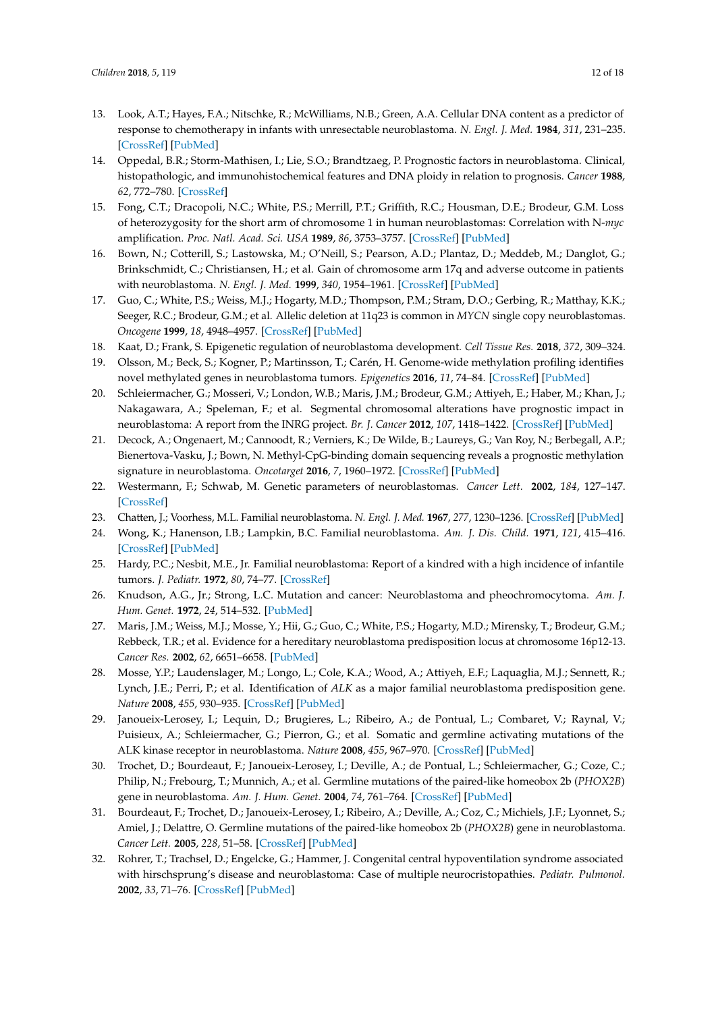- <span id="page-11-0"></span>13. Look, A.T.; Hayes, F.A.; Nitschke, R.; McWilliams, N.B.; Green, A.A. Cellular DNA content as a predictor of response to chemotherapy in infants with unresectable neuroblastoma. *N. Engl. J. Med.* **1984**, *311*, 231–235. [\[CrossRef\]](http://dx.doi.org/10.1056/NEJM198407263110405) [\[PubMed\]](http://www.ncbi.nlm.nih.gov/pubmed/6738617)
- <span id="page-11-1"></span>14. Oppedal, B.R.; Storm-Mathisen, I.; Lie, S.O.; Brandtzaeg, P. Prognostic factors in neuroblastoma. Clinical, histopathologic, and immunohistochemical features and DNA ploidy in relation to prognosis. *Cancer* **1988**, *62*, 772–780. [\[CrossRef\]](http://dx.doi.org/10.1002/1097-0142(19880815)62:4<772::AID-CNCR2820620422>3.0.CO;2-U)
- <span id="page-11-2"></span>15. Fong, C.T.; Dracopoli, N.C.; White, P.S.; Merrill, P.T.; Griffith, R.C.; Housman, D.E.; Brodeur, G.M. Loss of heterozygosity for the short arm of chromosome 1 in human neuroblastomas: Correlation with N-*myc* amplification. *Proc. Natl. Acad. Sci. USA* **1989**, *86*, 3753–3757. [\[CrossRef\]](http://dx.doi.org/10.1073/pnas.86.10.3753) [\[PubMed\]](http://www.ncbi.nlm.nih.gov/pubmed/2566996)
- 16. Bown, N.; Cotterill, S.; Lastowska, M.; O'Neill, S.; Pearson, A.D.; Plantaz, D.; Meddeb, M.; Danglot, G.; Brinkschmidt, C.; Christiansen, H.; et al. Gain of chromosome arm 17q and adverse outcome in patients with neuroblastoma. *N. Engl. J. Med.* **1999**, *340*, 1954–1961. [\[CrossRef\]](http://dx.doi.org/10.1056/NEJM199906243402504) [\[PubMed\]](http://www.ncbi.nlm.nih.gov/pubmed/10379019)
- <span id="page-11-3"></span>17. Guo, C.; White, P.S.; Weiss, M.J.; Hogarty, M.D.; Thompson, P.M.; Stram, D.O.; Gerbing, R.; Matthay, K.K.; Seeger, R.C.; Brodeur, G.M.; et al. Allelic deletion at 11q23 is common in *MYCN* single copy neuroblastomas. *Oncogene* **1999**, *18*, 4948–4957. [\[CrossRef\]](http://dx.doi.org/10.1038/sj.onc.1202887) [\[PubMed\]](http://www.ncbi.nlm.nih.gov/pubmed/10490829)
- <span id="page-11-4"></span>18. Kaat, D.; Frank, S. Epigenetic regulation of neuroblastoma development. *Cell Tissue Res.* **2018**, *372*, 309–324.
- 19. Olsson, M.; Beck, S.; Kogner, P.; Martinsson, T.; Carén, H. Genome-wide methylation profiling identifies novel methylated genes in neuroblastoma tumors. *Epigenetics* **2016**, *11*, 74–84. [\[CrossRef\]](http://dx.doi.org/10.1080/15592294.2016.1138195) [\[PubMed\]](http://www.ncbi.nlm.nih.gov/pubmed/26786290)
- 20. Schleiermacher, G.; Mosseri, V.; London, W.B.; Maris, J.M.; Brodeur, G.M.; Attiyeh, E.; Haber, M.; Khan, J.; Nakagawara, A.; Speleman, F.; et al. Segmental chromosomal alterations have prognostic impact in neuroblastoma: A report from the INRG project. *Br. J. Cancer* **2012**, *107*, 1418–1422. [\[CrossRef\]](http://dx.doi.org/10.1038/bjc.2012.375) [\[PubMed\]](http://www.ncbi.nlm.nih.gov/pubmed/22976801)
- 21. Decock, A.; Ongenaert, M.; Cannoodt, R.; Verniers, K.; De Wilde, B.; Laureys, G.; Van Roy, N.; Berbegall, A.P.; Bienertova-Vasku, J.; Bown, N. Methyl-CpG-binding domain sequencing reveals a prognostic methylation signature in neuroblastoma. *Oncotarget* **2016**, *7*, 1960–1972. [\[CrossRef\]](http://dx.doi.org/10.18632/oncotarget.6477) [\[PubMed\]](http://www.ncbi.nlm.nih.gov/pubmed/26646589)
- <span id="page-11-5"></span>22. Westermann, F.; Schwab, M. Genetic parameters of neuroblastomas. *Cancer Lett.* **2002**, *184*, 127–147. [\[CrossRef\]](http://dx.doi.org/10.1016/S0304-3835(02)00199-4)
- <span id="page-11-6"></span>23. Chatten, J.; Voorhess, M.L. Familial neuroblastoma. *N. Engl. J. Med.* **1967**, *277*, 1230–1236. [\[CrossRef\]](http://dx.doi.org/10.1056/NEJM196712072772304) [\[PubMed\]](http://www.ncbi.nlm.nih.gov/pubmed/6058612)
- <span id="page-11-7"></span>24. Wong, K.; Hanenson, I.B.; Lampkin, B.C. Familial neuroblastoma. *Am. J. Dis. Child.* **1971**, *121*, 415–416. [\[CrossRef\]](http://dx.doi.org/10.1001/archpedi.1971.02100160085010) [\[PubMed\]](http://www.ncbi.nlm.nih.gov/pubmed/5091536)
- <span id="page-11-8"></span>25. Hardy, P.C.; Nesbit, M.E., Jr. Familial neuroblastoma: Report of a kindred with a high incidence of infantile tumors. *J. Pediatr.* **1972**, *80*, 74–77. [\[CrossRef\]](http://dx.doi.org/10.1016/S0022-3476(72)80456-6)
- <span id="page-11-9"></span>26. Knudson, A.G., Jr.; Strong, L.C. Mutation and cancer: Neuroblastoma and pheochromocytoma. *Am. J. Hum. Genet.* **1972**, *24*, 514–532. [\[PubMed\]](http://www.ncbi.nlm.nih.gov/pubmed/4340974)
- <span id="page-11-10"></span>27. Maris, J.M.; Weiss, M.J.; Mosse, Y.; Hii, G.; Guo, C.; White, P.S.; Hogarty, M.D.; Mirensky, T.; Brodeur, G.M.; Rebbeck, T.R.; et al. Evidence for a hereditary neuroblastoma predisposition locus at chromosome 16p12-13. *Cancer Res.* **2002**, *62*, 6651–6658. [\[PubMed\]](http://www.ncbi.nlm.nih.gov/pubmed/12438263)
- <span id="page-11-11"></span>28. Mosse, Y.P.; Laudenslager, M.; Longo, L.; Cole, K.A.; Wood, A.; Attiyeh, E.F.; Laquaglia, M.J.; Sennett, R.; Lynch, J.E.; Perri, P.; et al. Identification of *ALK* as a major familial neuroblastoma predisposition gene. *Nature* **2008**, *455*, 930–935. [\[CrossRef\]](http://dx.doi.org/10.1038/nature07261) [\[PubMed\]](http://www.ncbi.nlm.nih.gov/pubmed/18724359)
- <span id="page-11-12"></span>29. Janoueix-Lerosey, I.; Lequin, D.; Brugieres, L.; Ribeiro, A.; de Pontual, L.; Combaret, V.; Raynal, V.; Puisieux, A.; Schleiermacher, G.; Pierron, G.; et al. Somatic and germline activating mutations of the ALK kinase receptor in neuroblastoma. *Nature* **2008**, *455*, 967–970. [\[CrossRef\]](http://dx.doi.org/10.1038/nature07398) [\[PubMed\]](http://www.ncbi.nlm.nih.gov/pubmed/18923523)
- <span id="page-11-13"></span>30. Trochet, D.; Bourdeaut, F.; Janoueix-Lerosey, I.; Deville, A.; de Pontual, L.; Schleiermacher, G.; Coze, C.; Philip, N.; Frebourg, T.; Munnich, A.; et al. Germline mutations of the paired-like homeobox 2b (*PHOX2B*) gene in neuroblastoma. *Am. J. Hum. Genet.* **2004**, *74*, 761–764. [\[CrossRef\]](http://dx.doi.org/10.1086/383253) [\[PubMed\]](http://www.ncbi.nlm.nih.gov/pubmed/15024693)
- <span id="page-11-14"></span>31. Bourdeaut, F.; Trochet, D.; Janoueix-Lerosey, I.; Ribeiro, A.; Deville, A.; Coz, C.; Michiels, J.F.; Lyonnet, S.; Amiel, J.; Delattre, O. Germline mutations of the paired-like homeobox 2b (*PHOX2B*) gene in neuroblastoma. *Cancer Lett.* **2005**, *228*, 51–58. [\[CrossRef\]](http://dx.doi.org/10.1016/j.canlet.2005.01.055) [\[PubMed\]](http://www.ncbi.nlm.nih.gov/pubmed/15949893)
- <span id="page-11-15"></span>32. Rohrer, T.; Trachsel, D.; Engelcke, G.; Hammer, J. Congenital central hypoventilation syndrome associated with hirschsprung's disease and neuroblastoma: Case of multiple neurocristopathies. *Pediatr. Pulmonol.* **2002**, *33*, 71–76. [\[CrossRef\]](http://dx.doi.org/10.1002/ppul.10031) [\[PubMed\]](http://www.ncbi.nlm.nih.gov/pubmed/11747263)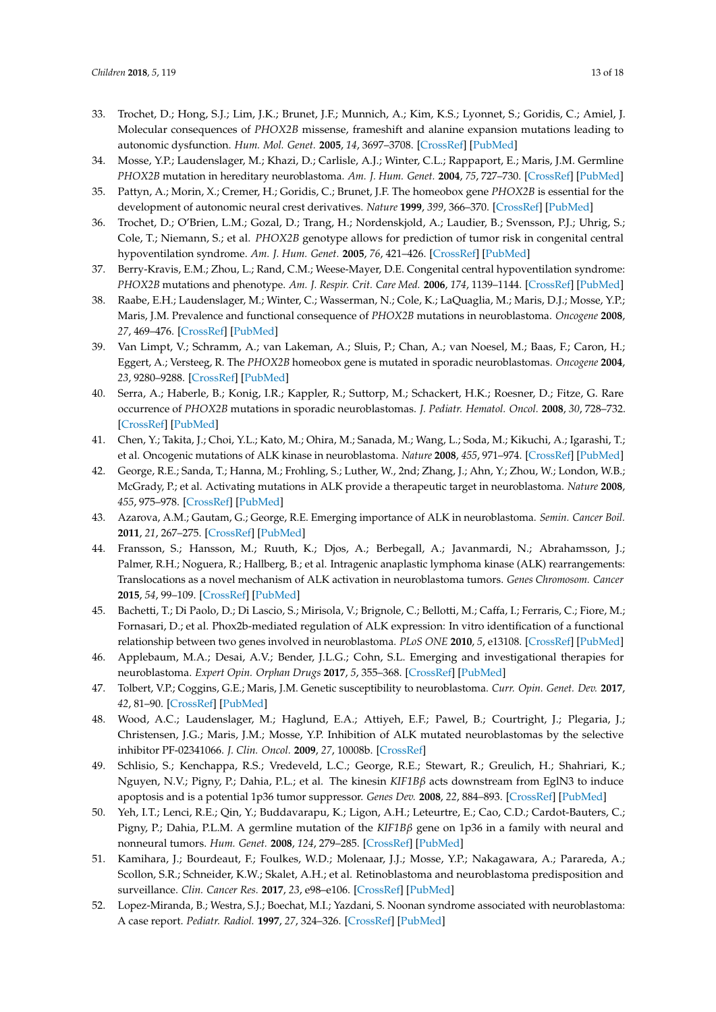- <span id="page-12-20"></span><span id="page-12-19"></span><span id="page-12-0"></span>33. Trochet, D.; Hong, S.J.; Lim, J.K.; Brunet, J.F.; Munnich, A.; Kim, K.S.; Lyonnet, S.; Goridis, C.; Amiel, J. Molecular consequences of *PHOX2B* missense, frameshift and alanine expansion mutations leading to autonomic dysfunction. *Hum. Mol. Genet.* **2005**, *14*, 3697–3708. [\[CrossRef\]](http://dx.doi.org/10.1093/hmg/ddi401) [\[PubMed\]](http://www.ncbi.nlm.nih.gov/pubmed/16249188)
- <span id="page-12-1"></span>34. Mosse, Y.P.; Laudenslager, M.; Khazi, D.; Carlisle, A.J.; Winter, C.L.; Rappaport, E.; Maris, J.M. Germline *PHOX2B* mutation in hereditary neuroblastoma. *Am. J. Hum. Genet.* **2004**, *75*, 727–730. [\[CrossRef\]](http://dx.doi.org/10.1086/424530) [\[PubMed\]](http://www.ncbi.nlm.nih.gov/pubmed/15338462)
- <span id="page-12-2"></span>35. Pattyn, A.; Morin, X.; Cremer, H.; Goridis, C.; Brunet, J.F. The homeobox gene *PHOX2B* is essential for the development of autonomic neural crest derivatives. *Nature* **1999**, *399*, 366–370. [\[CrossRef\]](http://dx.doi.org/10.1038/20700) [\[PubMed\]](http://www.ncbi.nlm.nih.gov/pubmed/10360575)
- <span id="page-12-3"></span>36. Trochet, D.; O'Brien, L.M.; Gozal, D.; Trang, H.; Nordenskjold, A.; Laudier, B.; Svensson, P.J.; Uhrig, S.; Cole, T.; Niemann, S.; et al. *PHOX2B* genotype allows for prediction of tumor risk in congenital central hypoventilation syndrome. *Am. J. Hum. Genet.* **2005**, *76*, 421–426. [\[CrossRef\]](http://dx.doi.org/10.1086/428366) [\[PubMed\]](http://www.ncbi.nlm.nih.gov/pubmed/15657873)
- <span id="page-12-4"></span>37. Berry-Kravis, E.M.; Zhou, L.; Rand, C.M.; Weese-Mayer, D.E. Congenital central hypoventilation syndrome: *PHOX2B* mutations and phenotype. *Am. J. Respir. Crit. Care Med.* **2006**, *174*, 1139–1144. [\[CrossRef\]](http://dx.doi.org/10.1164/rccm.200602-305OC) [\[PubMed\]](http://www.ncbi.nlm.nih.gov/pubmed/16888290)
- <span id="page-12-5"></span>38. Raabe, E.H.; Laudenslager, M.; Winter, C.; Wasserman, N.; Cole, K.; LaQuaglia, M.; Maris, D.J.; Mosse, Y.P.; Maris, J.M. Prevalence and functional consequence of *PHOX2B* mutations in neuroblastoma. *Oncogene* **2008**, *27*, 469–476. [\[CrossRef\]](http://dx.doi.org/10.1038/sj.onc.1210659) [\[PubMed\]](http://www.ncbi.nlm.nih.gov/pubmed/17637745)
- <span id="page-12-6"></span>39. Van Limpt, V.; Schramm, A.; van Lakeman, A.; Sluis, P.; Chan, A.; van Noesel, M.; Baas, F.; Caron, H.; Eggert, A.; Versteeg, R. The *PHOX2B* homeobox gene is mutated in sporadic neuroblastomas. *Oncogene* **2004**, *23*, 9280–9288. [\[CrossRef\]](http://dx.doi.org/10.1038/sj.onc.1208157) [\[PubMed\]](http://www.ncbi.nlm.nih.gov/pubmed/15516980)
- <span id="page-12-7"></span>40. Serra, A.; Haberle, B.; Konig, I.R.; Kappler, R.; Suttorp, M.; Schackert, H.K.; Roesner, D.; Fitze, G. Rare occurrence of *PHOX2B* mutations in sporadic neuroblastomas. *J. Pediatr. Hematol. Oncol.* **2008**, *30*, 728–732. [\[CrossRef\]](http://dx.doi.org/10.1097/MPH.0b013e3181772141) [\[PubMed\]](http://www.ncbi.nlm.nih.gov/pubmed/19011468)
- <span id="page-12-8"></span>41. Chen, Y.; Takita, J.; Choi, Y.L.; Kato, M.; Ohira, M.; Sanada, M.; Wang, L.; Soda, M.; Kikuchi, A.; Igarashi, T.; et al. Oncogenic mutations of ALK kinase in neuroblastoma. *Nature* **2008**, *455*, 971–974. [\[CrossRef\]](http://dx.doi.org/10.1038/nature07399) [\[PubMed\]](http://www.ncbi.nlm.nih.gov/pubmed/18923524)
- <span id="page-12-9"></span>42. George, R.E.; Sanda, T.; Hanna, M.; Frohling, S.; Luther, W., 2nd; Zhang, J.; Ahn, Y.; Zhou, W.; London, W.B.; McGrady, P.; et al. Activating mutations in ALK provide a therapeutic target in neuroblastoma. *Nature* **2008**, *455*, 975–978. [\[CrossRef\]](http://dx.doi.org/10.1038/nature07397) [\[PubMed\]](http://www.ncbi.nlm.nih.gov/pubmed/18923525)
- <span id="page-12-10"></span>43. Azarova, A.M.; Gautam, G.; George, R.E. Emerging importance of ALK in neuroblastoma. *Semin. Cancer Boil.* **2011**, *21*, 267–275. [\[CrossRef\]](http://dx.doi.org/10.1016/j.semcancer.2011.09.005) [\[PubMed\]](http://www.ncbi.nlm.nih.gov/pubmed/21945349)
- <span id="page-12-21"></span><span id="page-12-11"></span>44. Fransson, S.; Hansson, M.; Ruuth, K.; Djos, A.; Berbegall, A.; Javanmardi, N.; Abrahamsson, J.; Palmer, R.H.; Noguera, R.; Hallberg, B.; et al. Intragenic anaplastic lymphoma kinase (ALK) rearrangements: Translocations as a novel mechanism of ALK activation in neuroblastoma tumors. *Genes Chromosom. Cancer* **2015**, *54*, 99–109. [\[CrossRef\]](http://dx.doi.org/10.1002/gcc.22223) [\[PubMed\]](http://www.ncbi.nlm.nih.gov/pubmed/25251827)
- <span id="page-12-12"></span>45. Bachetti, T.; Di Paolo, D.; Di Lascio, S.; Mirisola, V.; Brignole, C.; Bellotti, M.; Caffa, I.; Ferraris, C.; Fiore, M.; Fornasari, D.; et al. Phox2b-mediated regulation of ALK expression: In vitro identification of a functional relationship between two genes involved in neuroblastoma. *PLoS ONE* **2010**, *5*, e13108. [\[CrossRef\]](http://dx.doi.org/10.1371/journal.pone.0013108) [\[PubMed\]](http://www.ncbi.nlm.nih.gov/pubmed/20957039)
- <span id="page-12-13"></span>46. Applebaum, M.A.; Desai, A.V.; Bender, J.L.G.; Cohn, S.L. Emerging and investigational therapies for neuroblastoma. *Expert Opin. Orphan Drugs* **2017**, *5*, 355–368. [\[CrossRef\]](http://dx.doi.org/10.1080/21678707.2017.1304212) [\[PubMed\]](http://www.ncbi.nlm.nih.gov/pubmed/29062613)
- <span id="page-12-14"></span>47. Tolbert, V.P.; Coggins, G.E.; Maris, J.M. Genetic susceptibility to neuroblastoma. *Curr. Opin. Genet. Dev.* **2017**, *42*, 81–90. [\[CrossRef\]](http://dx.doi.org/10.1016/j.gde.2017.03.008) [\[PubMed\]](http://www.ncbi.nlm.nih.gov/pubmed/28458126)
- <span id="page-12-15"></span>48. Wood, A.C.; Laudenslager, M.; Haglund, E.A.; Attiyeh, E.F.; Pawel, B.; Courtright, J.; Plegaria, J.; Christensen, J.G.; Maris, J.M.; Mosse, Y.P. Inhibition of ALK mutated neuroblastomas by the selective inhibitor PF-02341066. *J. Clin. Oncol.* **2009**, *27*, 10008b. [\[CrossRef\]](http://dx.doi.org/10.1200/jco.2009.27.15s.10008b)
- <span id="page-12-16"></span>49. Schlisio, S.; Kenchappa, R.S.; Vredeveld, L.C.; George, R.E.; Stewart, R.; Greulich, H.; Shahriari, K.; Nguyen, N.V.; Pigny, P.; Dahia, P.L.; et al. The kinesin *KIF1Bβ* acts downstream from EglN3 to induce apoptosis and is a potential 1p36 tumor suppressor. *Genes Dev.* **2008**, *22*, 884–893. [\[CrossRef\]](http://dx.doi.org/10.1101/gad.1648608) [\[PubMed\]](http://www.ncbi.nlm.nih.gov/pubmed/18334619)
- <span id="page-12-17"></span>50. Yeh, I.T.; Lenci, R.E.; Qin, Y.; Buddavarapu, K.; Ligon, A.H.; Leteurtre, E.; Cao, C.D.; Cardot-Bauters, C.; Pigny, P.; Dahia, P.L.M. A germline mutation of the *KIF1Bβ* gene on 1p36 in a family with neural and nonneural tumors. *Hum. Genet.* **2008**, *124*, 279–285. [\[CrossRef\]](http://dx.doi.org/10.1007/s00439-008-0553-1) [\[PubMed\]](http://www.ncbi.nlm.nih.gov/pubmed/18726616)
- <span id="page-12-18"></span>51. Kamihara, J.; Bourdeaut, F.; Foulkes, W.D.; Molenaar, J.J.; Mosse, Y.P.; Nakagawara, A.; Parareda, A.; Scollon, S.R.; Schneider, K.W.; Skalet, A.H.; et al. Retinoblastoma and neuroblastoma predisposition and surveillance. *Clin. Cancer Res.* **2017**, *23*, e98–e106. [\[CrossRef\]](http://dx.doi.org/10.1158/1078-0432.CCR-17-0652) [\[PubMed\]](http://www.ncbi.nlm.nih.gov/pubmed/28674118)
- 52. Lopez-Miranda, B.; Westra, S.J.; Boechat, M.I.; Yazdani, S. Noonan syndrome associated with neuroblastoma: A case report. *Pediatr. Radiol.* **1997**, *27*, 324–326. [\[CrossRef\]](http://dx.doi.org/10.1007/s002470050140) [\[PubMed\]](http://www.ncbi.nlm.nih.gov/pubmed/9162899)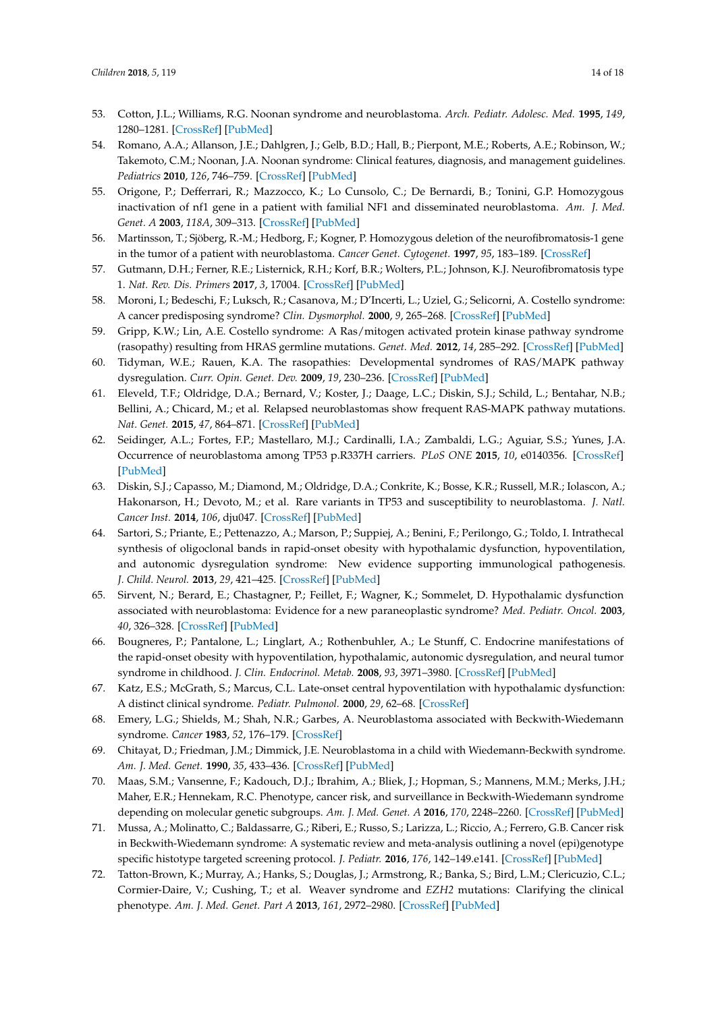- <span id="page-13-16"></span><span id="page-13-15"></span><span id="page-13-14"></span><span id="page-13-13"></span><span id="page-13-12"></span>53. Cotton, J.L.; Williams, R.G. Noonan syndrome and neuroblastoma. *Arch. Pediatr. Adolesc. Med.* **1995**, *149*, 1280–1281. [\[CrossRef\]](http://dx.doi.org/10.1001/archpedi.1995.02170240098019) [\[PubMed\]](http://www.ncbi.nlm.nih.gov/pubmed/7581766)
- <span id="page-13-19"></span>54. Romano, A.A.; Allanson, J.E.; Dahlgren, J.; Gelb, B.D.; Hall, B.; Pierpont, M.E.; Roberts, A.E.; Robinson, W.; Takemoto, C.M.; Noonan, J.A. Noonan syndrome: Clinical features, diagnosis, and management guidelines. *Pediatrics* **2010**, *126*, 746–759. [\[CrossRef\]](http://dx.doi.org/10.1542/peds.2009-3207) [\[PubMed\]](http://www.ncbi.nlm.nih.gov/pubmed/20876176)
- <span id="page-13-20"></span>55. Origone, P.; Defferrari, R.; Mazzocco, K.; Lo Cunsolo, C.; De Bernardi, B.; Tonini, G.P. Homozygous inactivation of nf1 gene in a patient with familial NF1 and disseminated neuroblastoma. *Am. J. Med. Genet. A* **2003**, *118A*, 309–313. [\[CrossRef\]](http://dx.doi.org/10.1002/ajmg.a.10167) [\[PubMed\]](http://www.ncbi.nlm.nih.gov/pubmed/12687660)
- <span id="page-13-11"></span>56. Martinsson, T.; Sjöberg, R.-M.; Hedborg, F.; Kogner, P. Homozygous deletion of the neurofibromatosis-1 gene in the tumor of a patient with neuroblastoma. *Cancer Genet. Cytogenet.* **1997**, *95*, 183–189. [\[CrossRef\]](http://dx.doi.org/10.1016/S0165-4608(96)00259-2)
- 57. Gutmann, D.H.; Ferner, R.E.; Listernick, R.H.; Korf, B.R.; Wolters, P.L.; Johnson, K.J. Neurofibromatosis type 1. *Nat. Rev. Dis. Primers* **2017**, *3*, 17004. [\[CrossRef\]](http://dx.doi.org/10.1038/nrdp.2017.4) [\[PubMed\]](http://www.ncbi.nlm.nih.gov/pubmed/28230061)
- 58. Moroni, I.; Bedeschi, F.; Luksch, R.; Casanova, M.; D'Incerti, L.; Uziel, G.; Selicorni, A. Costello syndrome: A cancer predisposing syndrome? *Clin. Dysmorphol.* **2000**, *9*, 265–268. [\[CrossRef\]](http://dx.doi.org/10.1097/00019605-200009040-00006) [\[PubMed\]](http://www.ncbi.nlm.nih.gov/pubmed/11045582)
- <span id="page-13-0"></span>59. Gripp, K.W.; Lin, A.E. Costello syndrome: A Ras/mitogen activated protein kinase pathway syndrome (rasopathy) resulting from HRAS germline mutations. *Genet. Med.* **2012**, *14*, 285–292. [\[CrossRef\]](http://dx.doi.org/10.1038/gim.0b013e31822dd91f) [\[PubMed\]](http://www.ncbi.nlm.nih.gov/pubmed/22261753)
- <span id="page-13-1"></span>60. Tidyman, W.E.; Rauen, K.A. The rasopathies: Developmental syndromes of RAS/MAPK pathway dysregulation. *Curr. Opin. Genet. Dev.* **2009**, *19*, 230–236. [\[CrossRef\]](http://dx.doi.org/10.1016/j.gde.2009.04.001) [\[PubMed\]](http://www.ncbi.nlm.nih.gov/pubmed/19467855)
- <span id="page-13-2"></span>61. Eleveld, T.F.; Oldridge, D.A.; Bernard, V.; Koster, J.; Daage, L.C.; Diskin, S.J.; Schild, L.; Bentahar, N.B.; Bellini, A.; Chicard, M.; et al. Relapsed neuroblastomas show frequent RAS-MAPK pathway mutations. *Nat. Genet.* **2015**, *47*, 864–871. [\[CrossRef\]](http://dx.doi.org/10.1038/ng.3333) [\[PubMed\]](http://www.ncbi.nlm.nih.gov/pubmed/26121087)
- <span id="page-13-17"></span><span id="page-13-3"></span>62. Seidinger, A.L.; Fortes, F.P.; Mastellaro, M.J.; Cardinalli, I.A.; Zambaldi, L.G.; Aguiar, S.S.; Yunes, J.A. Occurrence of neuroblastoma among TP53 p.R337H carriers. *PLoS ONE* **2015**, *10*, e0140356. [\[CrossRef\]](http://dx.doi.org/10.1371/journal.pone.0140356) [\[PubMed\]](http://www.ncbi.nlm.nih.gov/pubmed/26452166)
- <span id="page-13-4"></span>63. Diskin, S.J.; Capasso, M.; Diamond, M.; Oldridge, D.A.; Conkrite, K.; Bosse, K.R.; Russell, M.R.; Iolascon, A.; Hakonarson, H.; Devoto, M.; et al. Rare variants in TP53 and susceptibility to neuroblastoma. *J. Natl. Cancer Inst.* **2014**, *106*, dju047. [\[CrossRef\]](http://dx.doi.org/10.1093/jnci/dju047) [\[PubMed\]](http://www.ncbi.nlm.nih.gov/pubmed/24634504)
- <span id="page-13-18"></span><span id="page-13-5"></span>64. Sartori, S.; Priante, E.; Pettenazzo, A.; Marson, P.; Suppiej, A.; Benini, F.; Perilongo, G.; Toldo, I. Intrathecal synthesis of oligoclonal bands in rapid-onset obesity with hypothalamic dysfunction, hypoventilation, and autonomic dysregulation syndrome: New evidence supporting immunological pathogenesis. *J. Child. Neurol.* **2013**, *29*, 421–425. [\[CrossRef\]](http://dx.doi.org/10.1177/0883073812469050) [\[PubMed\]](http://www.ncbi.nlm.nih.gov/pubmed/23292759)
- <span id="page-13-21"></span><span id="page-13-6"></span>65. Sirvent, N.; Berard, E.; Chastagner, P.; Feillet, F.; Wagner, K.; Sommelet, D. Hypothalamic dysfunction associated with neuroblastoma: Evidence for a new paraneoplastic syndrome? *Med. Pediatr. Oncol.* **2003**, *40*, 326–328. [\[CrossRef\]](http://dx.doi.org/10.1002/mpo.10157) [\[PubMed\]](http://www.ncbi.nlm.nih.gov/pubmed/12652624)
- 66. Bougneres, P.; Pantalone, L.; Linglart, A.; Rothenbuhler, A.; Le Stunff, C. Endocrine manifestations of the rapid-onset obesity with hypoventilation, hypothalamic, autonomic dysregulation, and neural tumor syndrome in childhood. *J. Clin. Endocrinol. Metab.* **2008**, *93*, 3971–3980. [\[CrossRef\]](http://dx.doi.org/10.1210/jc.2008-0238) [\[PubMed\]](http://www.ncbi.nlm.nih.gov/pubmed/18628522)
- <span id="page-13-7"></span>67. Katz, E.S.; McGrath, S.; Marcus, C.L. Late-onset central hypoventilation with hypothalamic dysfunction: A distinct clinical syndrome. *Pediatr. Pulmonol.* **2000**, *29*, 62–68. [\[CrossRef\]](http://dx.doi.org/10.1002/(SICI)1099-0496(200001)29:1<62::AID-PPUL10>3.0.CO;2-M)
- <span id="page-13-8"></span>68. Emery, L.G.; Shields, M.; Shah, N.R.; Garbes, A. Neuroblastoma associated with Beckwith-Wiedemann syndrome. *Cancer* **1983**, *52*, 176–179. [\[CrossRef\]](http://dx.doi.org/10.1002/1097-0142(19830701)52:1<176::AID-CNCR2820520132>3.0.CO;2-V)
- 69. Chitayat, D.; Friedman, J.M.; Dimmick, J.E. Neuroblastoma in a child with Wiedemann-Beckwith syndrome. *Am. J. Med. Genet.* **1990**, *35*, 433–436. [\[CrossRef\]](http://dx.doi.org/10.1002/ajmg.1320350322) [\[PubMed\]](http://www.ncbi.nlm.nih.gov/pubmed/2309794)
- 70. Maas, S.M.; Vansenne, F.; Kadouch, D.J.; Ibrahim, A.; Bliek, J.; Hopman, S.; Mannens, M.M.; Merks, J.H.; Maher, E.R.; Hennekam, R.C. Phenotype, cancer risk, and surveillance in Beckwith-Wiedemann syndrome depending on molecular genetic subgroups. *Am. J. Med. Genet. A* **2016**, *170*, 2248–2260. [\[CrossRef\]](http://dx.doi.org/10.1002/ajmg.a.37801) [\[PubMed\]](http://www.ncbi.nlm.nih.gov/pubmed/27419809)
- <span id="page-13-9"></span>71. Mussa, A.; Molinatto, C.; Baldassarre, G.; Riberi, E.; Russo, S.; Larizza, L.; Riccio, A.; Ferrero, G.B. Cancer risk in Beckwith-Wiedemann syndrome: A systematic review and meta-analysis outlining a novel (epi)genotype specific histotype targeted screening protocol. *J. Pediatr.* **2016**, *176*, 142–149.e141. [\[CrossRef\]](http://dx.doi.org/10.1016/j.jpeds.2016.05.038) [\[PubMed\]](http://www.ncbi.nlm.nih.gov/pubmed/27372391)
- <span id="page-13-10"></span>72. Tatton-Brown, K.; Murray, A.; Hanks, S.; Douglas, J.; Armstrong, R.; Banka, S.; Bird, L.M.; Clericuzio, C.L.; Cormier-Daire, V.; Cushing, T.; et al. Weaver syndrome and *EZH2* mutations: Clarifying the clinical phenotype. *Am. J. Med. Genet. Part A* **2013**, *161*, 2972–2980. [\[CrossRef\]](http://dx.doi.org/10.1002/ajmg.a.36229) [\[PubMed\]](http://www.ncbi.nlm.nih.gov/pubmed/24214728)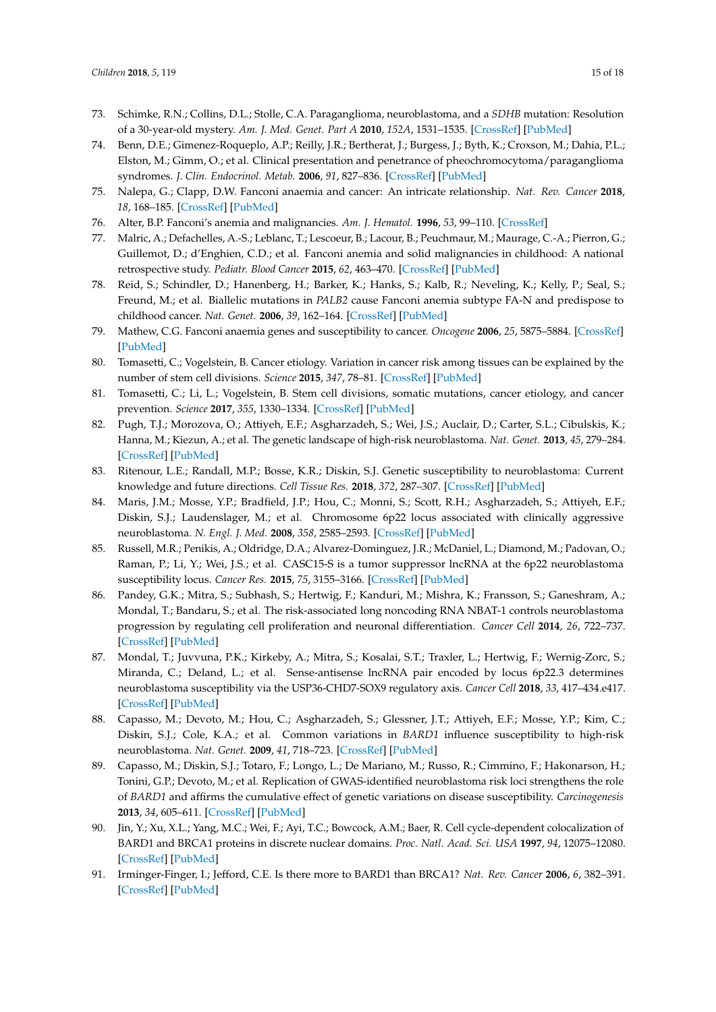- <span id="page-14-8"></span><span id="page-14-7"></span><span id="page-14-6"></span><span id="page-14-5"></span>73. Schimke, R.N.; Collins, D.L.; Stolle, C.A. Paraganglioma, neuroblastoma, and a *SDHB* mutation: Resolution of a 30-year-old mystery. *Am. J. Med. Genet. Part A* **2010**, *152A*, 1531–1535. [\[CrossRef\]](http://dx.doi.org/10.1002/ajmg.a.33384) [\[PubMed\]](http://www.ncbi.nlm.nih.gov/pubmed/20503330)
- <span id="page-14-0"></span>74. Benn, D.E.; Gimenez-Roqueplo, A.P.; Reilly, J.R.; Bertherat, J.; Burgess, J.; Byth, K.; Croxson, M.; Dahia, P.L.; Elston, M.; Gimm, O.; et al. Clinical presentation and penetrance of pheochromocytoma/paraganglioma syndromes. *J. Clin. Endocrinol. Metab.* **2006**, *91*, 827–836. [\[CrossRef\]](http://dx.doi.org/10.1210/jc.2005-1862) [\[PubMed\]](http://www.ncbi.nlm.nih.gov/pubmed/16317055)
- <span id="page-14-1"></span>75. Nalepa, G.; Clapp, D.W. Fanconi anaemia and cancer: An intricate relationship. *Nat. Rev. Cancer* **2018**, *18*, 168–185. [\[CrossRef\]](http://dx.doi.org/10.1038/nrc.2017.116) [\[PubMed\]](http://www.ncbi.nlm.nih.gov/pubmed/29376519)
- 76. Alter, B.P. Fanconi's anemia and malignancies. *Am. J. Hematol.* **1996**, *53*, 99–110. [\[CrossRef\]](http://dx.doi.org/10.1002/(SICI)1096-8652(199610)53:2<99::AID-AJH7>3.0.CO;2-Z)
- <span id="page-14-2"></span>77. Malric, A.; Defachelles, A.-S.; Leblanc, T.; Lescoeur, B.; Lacour, B.; Peuchmaur, M.; Maurage, C.-A.; Pierron, G.; Guillemot, D.; d'Enghien, C.D.; et al. Fanconi anemia and solid malignancies in childhood: A national retrospective study. *Pediatr. Blood Cancer* **2015**, *62*, 463–470. [\[CrossRef\]](http://dx.doi.org/10.1002/pbc.25303) [\[PubMed\]](http://www.ncbi.nlm.nih.gov/pubmed/25381700)
- <span id="page-14-3"></span>78. Reid, S.; Schindler, D.; Hanenberg, H.; Barker, K.; Hanks, S.; Kalb, R.; Neveling, K.; Kelly, P.; Seal, S.; Freund, M.; et al. Biallelic mutations in *PALB2* cause Fanconi anemia subtype FA-N and predispose to childhood cancer. *Nat. Genet.* **2006**, *39*, 162–164. [\[CrossRef\]](http://dx.doi.org/10.1038/ng1947) [\[PubMed\]](http://www.ncbi.nlm.nih.gov/pubmed/17200671)
- <span id="page-14-4"></span>79. Mathew, C.G. Fanconi anaemia genes and susceptibility to cancer. *Oncogene* **2006**, *25*, 5875–5884. [\[CrossRef\]](http://dx.doi.org/10.1038/sj.onc.1209878) [\[PubMed\]](http://www.ncbi.nlm.nih.gov/pubmed/16998502)
- <span id="page-14-9"></span>80. Tomasetti, C.; Vogelstein, B. Cancer etiology. Variation in cancer risk among tissues can be explained by the number of stem cell divisions. *Science* **2015**, *347*, 78–81. [\[CrossRef\]](http://dx.doi.org/10.1126/science.1260825) [\[PubMed\]](http://www.ncbi.nlm.nih.gov/pubmed/25554788)
- <span id="page-14-10"></span>81. Tomasetti, C.; Li, L.; Vogelstein, B. Stem cell divisions, somatic mutations, cancer etiology, and cancer prevention. *Science* **2017**, *355*, 1330–1334. [\[CrossRef\]](http://dx.doi.org/10.1126/science.aaf9011) [\[PubMed\]](http://www.ncbi.nlm.nih.gov/pubmed/28336671)
- <span id="page-14-11"></span>82. Pugh, T.J.; Morozova, O.; Attiyeh, E.F.; Asgharzadeh, S.; Wei, J.S.; Auclair, D.; Carter, S.L.; Cibulskis, K.; Hanna, M.; Kiezun, A.; et al. The genetic landscape of high-risk neuroblastoma. *Nat. Genet.* **2013**, *45*, 279–284. [\[CrossRef\]](http://dx.doi.org/10.1038/ng.2529) [\[PubMed\]](http://www.ncbi.nlm.nih.gov/pubmed/23334666)
- <span id="page-14-12"></span>83. Ritenour, L.E.; Randall, M.P.; Bosse, K.R.; Diskin, S.J. Genetic susceptibility to neuroblastoma: Current knowledge and future directions. *Cell Tissue Res.* **2018**, *372*, 287–307. [\[CrossRef\]](http://dx.doi.org/10.1007/s00441-018-2820-3) [\[PubMed\]](http://www.ncbi.nlm.nih.gov/pubmed/29589100)
- <span id="page-14-13"></span>84. Maris, J.M.; Mosse, Y.P.; Bradfield, J.P.; Hou, C.; Monni, S.; Scott, R.H.; Asgharzadeh, S.; Attiyeh, E.F.; Diskin, S.J.; Laudenslager, M.; et al. Chromosome 6p22 locus associated with clinically aggressive neuroblastoma. *N. Engl. J. Med.* **2008**, *358*, 2585–2593. [\[CrossRef\]](http://dx.doi.org/10.1056/NEJMoa0708698) [\[PubMed\]](http://www.ncbi.nlm.nih.gov/pubmed/18463370)
- <span id="page-14-14"></span>85. Russell, M.R.; Penikis, A.; Oldridge, D.A.; Alvarez-Dominguez, J.R.; McDaniel, L.; Diamond, M.; Padovan, O.; Raman, P.; Li, Y.; Wei, J.S.; et al. CASC15-S is a tumor suppressor lncRNA at the 6p22 neuroblastoma susceptibility locus. *Cancer Res.* **2015**, *75*, 3155–3166. [\[CrossRef\]](http://dx.doi.org/10.1158/0008-5472.CAN-14-3613) [\[PubMed\]](http://www.ncbi.nlm.nih.gov/pubmed/26100672)
- <span id="page-14-15"></span>86. Pandey, G.K.; Mitra, S.; Subhash, S.; Hertwig, F.; Kanduri, M.; Mishra, K.; Fransson, S.; Ganeshram, A.; Mondal, T.; Bandaru, S.; et al. The risk-associated long noncoding RNA NBAT-1 controls neuroblastoma progression by regulating cell proliferation and neuronal differentiation. *Cancer Cell* **2014**, *26*, 722–737. [\[CrossRef\]](http://dx.doi.org/10.1016/j.ccell.2014.09.014) [\[PubMed\]](http://www.ncbi.nlm.nih.gov/pubmed/25517750)
- <span id="page-14-16"></span>87. Mondal, T.; Juvvuna, P.K.; Kirkeby, A.; Mitra, S.; Kosalai, S.T.; Traxler, L.; Hertwig, F.; Wernig-Zorc, S.; Miranda, C.; Deland, L.; et al. Sense-antisense lncRNA pair encoded by locus 6p22.3 determines neuroblastoma susceptibility via the USP36-CHD7-SOX9 regulatory axis. *Cancer Cell* **2018**, *33*, 417–434.e417. [\[CrossRef\]](http://dx.doi.org/10.1016/j.ccell.2018.01.020) [\[PubMed\]](http://www.ncbi.nlm.nih.gov/pubmed/29533783)
- <span id="page-14-17"></span>88. Capasso, M.; Devoto, M.; Hou, C.; Asgharzadeh, S.; Glessner, J.T.; Attiyeh, E.F.; Mosse, Y.P.; Kim, C.; Diskin, S.J.; Cole, K.A.; et al. Common variations in *BARD1* influence susceptibility to high-risk neuroblastoma. *Nat. Genet.* **2009**, *41*, 718–723. [\[CrossRef\]](http://dx.doi.org/10.1038/ng.374) [\[PubMed\]](http://www.ncbi.nlm.nih.gov/pubmed/19412175)
- <span id="page-14-18"></span>89. Capasso, M.; Diskin, S.J.; Totaro, F.; Longo, L.; De Mariano, M.; Russo, R.; Cimmino, F.; Hakonarson, H.; Tonini, G.P.; Devoto, M.; et al. Replication of GWAS-identified neuroblastoma risk loci strengthens the role of *BARD1* and affirms the cumulative effect of genetic variations on disease susceptibility. *Carcinogenesis* **2013**, *34*, 605–611. [\[CrossRef\]](http://dx.doi.org/10.1093/carcin/bgs380) [\[PubMed\]](http://www.ncbi.nlm.nih.gov/pubmed/23222812)
- <span id="page-14-19"></span>90. Jin, Y.; Xu, X.L.; Yang, M.C.; Wei, F.; Ayi, T.C.; Bowcock, A.M.; Baer, R. Cell cycle-dependent colocalization of BARD1 and BRCA1 proteins in discrete nuclear domains. *Proc. Natl. Acad. Sci. USA* **1997**, *94*, 12075–12080. [\[CrossRef\]](http://dx.doi.org/10.1073/pnas.94.22.12075) [\[PubMed\]](http://www.ncbi.nlm.nih.gov/pubmed/9342365)
- <span id="page-14-20"></span>91. Irminger-Finger, I.; Jefford, C.E. Is there more to BARD1 than BRCA1? *Nat. Rev. Cancer* **2006**, *6*, 382–391. [\[CrossRef\]](http://dx.doi.org/10.1038/nrc1878) [\[PubMed\]](http://www.ncbi.nlm.nih.gov/pubmed/16633366)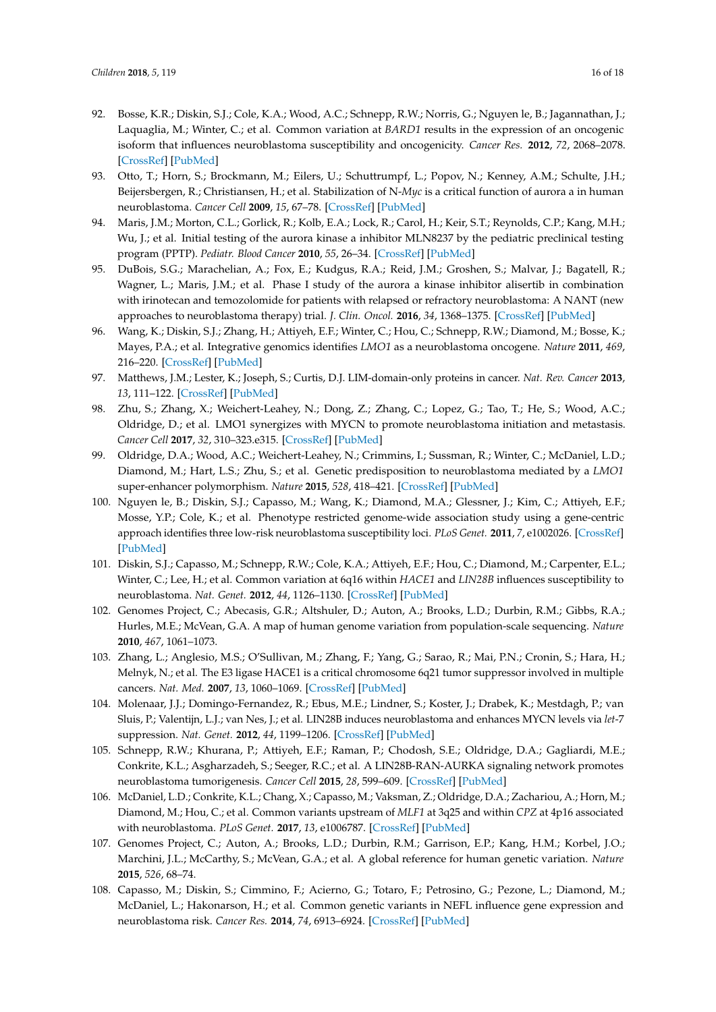- <span id="page-15-0"></span>92. Bosse, K.R.; Diskin, S.J.; Cole, K.A.; Wood, A.C.; Schnepp, R.W.; Norris, G.; Nguyen le, B.; Jagannathan, J.; Laquaglia, M.; Winter, C.; et al. Common variation at *BARD1* results in the expression of an oncogenic isoform that influences neuroblastoma susceptibility and oncogenicity. *Cancer Res.* **2012**, *72*, 2068–2078. [\[CrossRef\]](http://dx.doi.org/10.1158/0008-5472.CAN-11-3703) [\[PubMed\]](http://www.ncbi.nlm.nih.gov/pubmed/22350409)
- <span id="page-15-1"></span>93. Otto, T.; Horn, S.; Brockmann, M.; Eilers, U.; Schuttrumpf, L.; Popov, N.; Kenney, A.M.; Schulte, J.H.; Beijersbergen, R.; Christiansen, H.; et al. Stabilization of N-*Myc* is a critical function of aurora a in human neuroblastoma. *Cancer Cell* **2009**, *15*, 67–78. [\[CrossRef\]](http://dx.doi.org/10.1016/j.ccr.2008.12.005) [\[PubMed\]](http://www.ncbi.nlm.nih.gov/pubmed/19111882)
- <span id="page-15-2"></span>94. Maris, J.M.; Morton, C.L.; Gorlick, R.; Kolb, E.A.; Lock, R.; Carol, H.; Keir, S.T.; Reynolds, C.P.; Kang, M.H.; Wu, J.; et al. Initial testing of the aurora kinase a inhibitor MLN8237 by the pediatric preclinical testing program (PPTP). *Pediatr. Blood Cancer* **2010**, *55*, 26–34. [\[CrossRef\]](http://dx.doi.org/10.1002/pbc.22430) [\[PubMed\]](http://www.ncbi.nlm.nih.gov/pubmed/20108338)
- <span id="page-15-3"></span>95. DuBois, S.G.; Marachelian, A.; Fox, E.; Kudgus, R.A.; Reid, J.M.; Groshen, S.; Malvar, J.; Bagatell, R.; Wagner, L.; Maris, J.M.; et al. Phase I study of the aurora a kinase inhibitor alisertib in combination with irinotecan and temozolomide for patients with relapsed or refractory neuroblastoma: A NANT (new approaches to neuroblastoma therapy) trial. *J. Clin. Oncol.* **2016**, *34*, 1368–1375. [\[CrossRef\]](http://dx.doi.org/10.1200/JCO.2015.65.4889) [\[PubMed\]](http://www.ncbi.nlm.nih.gov/pubmed/26884555)
- <span id="page-15-4"></span>96. Wang, K.; Diskin, S.J.; Zhang, H.; Attiyeh, E.F.; Winter, C.; Hou, C.; Schnepp, R.W.; Diamond, M.; Bosse, K.; Mayes, P.A.; et al. Integrative genomics identifies *LMO1* as a neuroblastoma oncogene. *Nature* **2011**, *469*, 216–220. [\[CrossRef\]](http://dx.doi.org/10.1038/nature09609) [\[PubMed\]](http://www.ncbi.nlm.nih.gov/pubmed/21124317)
- <span id="page-15-5"></span>97. Matthews, J.M.; Lester, K.; Joseph, S.; Curtis, D.J. LIM-domain-only proteins in cancer. *Nat. Rev. Cancer* **2013**, *13*, 111–122. [\[CrossRef\]](http://dx.doi.org/10.1038/nrc3418) [\[PubMed\]](http://www.ncbi.nlm.nih.gov/pubmed/23303138)
- <span id="page-15-6"></span>98. Zhu, S.; Zhang, X.; Weichert-Leahey, N.; Dong, Z.; Zhang, C.; Lopez, G.; Tao, T.; He, S.; Wood, A.C.; Oldridge, D.; et al. LMO1 synergizes with MYCN to promote neuroblastoma initiation and metastasis. *Cancer Cell* **2017**, *32*, 310–323.e315. [\[CrossRef\]](http://dx.doi.org/10.1016/j.ccell.2017.08.002) [\[PubMed\]](http://www.ncbi.nlm.nih.gov/pubmed/28867147)
- <span id="page-15-7"></span>99. Oldridge, D.A.; Wood, A.C.; Weichert-Leahey, N.; Crimmins, I.; Sussman, R.; Winter, C.; McDaniel, L.D.; Diamond, M.; Hart, L.S.; Zhu, S.; et al. Genetic predisposition to neuroblastoma mediated by a *LMO1* super-enhancer polymorphism. *Nature* **2015**, *528*, 418–421. [\[CrossRef\]](http://dx.doi.org/10.1038/nature15540) [\[PubMed\]](http://www.ncbi.nlm.nih.gov/pubmed/26560027)
- <span id="page-15-8"></span>100. Nguyen le, B.; Diskin, S.J.; Capasso, M.; Wang, K.; Diamond, M.A.; Glessner, J.; Kim, C.; Attiyeh, E.F.; Mosse, Y.P.; Cole, K.; et al. Phenotype restricted genome-wide association study using a gene-centric approach identifies three low-risk neuroblastoma susceptibility loci. *PLoS Genet.* **2011**, *7*, e1002026. [\[CrossRef\]](http://dx.doi.org/10.1371/journal.pgen.1002026) [\[PubMed\]](http://www.ncbi.nlm.nih.gov/pubmed/21436895)
- <span id="page-15-9"></span>101. Diskin, S.J.; Capasso, M.; Schnepp, R.W.; Cole, K.A.; Attiyeh, E.F.; Hou, C.; Diamond, M.; Carpenter, E.L.; Winter, C.; Lee, H.; et al. Common variation at 6q16 within *HACE1* and *LIN28B* influences susceptibility to neuroblastoma. *Nat. Genet.* **2012**, *44*, 1126–1130. [\[CrossRef\]](http://dx.doi.org/10.1038/ng.2387) [\[PubMed\]](http://www.ncbi.nlm.nih.gov/pubmed/22941191)
- <span id="page-15-10"></span>102. Genomes Project, C.; Abecasis, G.R.; Altshuler, D.; Auton, A.; Brooks, L.D.; Durbin, R.M.; Gibbs, R.A.; Hurles, M.E.; McVean, G.A. A map of human genome variation from population-scale sequencing. *Nature* **2010**, *467*, 1061–1073.
- <span id="page-15-11"></span>103. Zhang, L.; Anglesio, M.S.; O'Sullivan, M.; Zhang, F.; Yang, G.; Sarao, R.; Mai, P.N.; Cronin, S.; Hara, H.; Melnyk, N.; et al. The E3 ligase HACE1 is a critical chromosome 6q21 tumor suppressor involved in multiple cancers. *Nat. Med.* **2007**, *13*, 1060–1069. [\[CrossRef\]](http://dx.doi.org/10.1038/nm1621) [\[PubMed\]](http://www.ncbi.nlm.nih.gov/pubmed/17694067)
- <span id="page-15-12"></span>104. Molenaar, J.J.; Domingo-Fernandez, R.; Ebus, M.E.; Lindner, S.; Koster, J.; Drabek, K.; Mestdagh, P.; van Sluis, P.; Valentijn, L.J.; van Nes, J.; et al. LIN28B induces neuroblastoma and enhances MYCN levels via *let*-7 suppression. *Nat. Genet.* **2012**, *44*, 1199–1206. [\[CrossRef\]](http://dx.doi.org/10.1038/ng.2436) [\[PubMed\]](http://www.ncbi.nlm.nih.gov/pubmed/23042116)
- <span id="page-15-13"></span>105. Schnepp, R.W.; Khurana, P.; Attiyeh, E.F.; Raman, P.; Chodosh, S.E.; Oldridge, D.A.; Gagliardi, M.E.; Conkrite, K.L.; Asgharzadeh, S.; Seeger, R.C.; et al. A LIN28B-RAN-AURKA signaling network promotes neuroblastoma tumorigenesis. *Cancer Cell* **2015**, *28*, 599–609. [\[CrossRef\]](http://dx.doi.org/10.1016/j.ccell.2015.09.012) [\[PubMed\]](http://www.ncbi.nlm.nih.gov/pubmed/26481147)
- <span id="page-15-14"></span>106. McDaniel, L.D.; Conkrite, K.L.; Chang, X.; Capasso, M.; Vaksman, Z.; Oldridge, D.A.; Zachariou, A.; Horn, M.; Diamond, M.; Hou, C.; et al. Common variants upstream of *MLF1* at 3q25 and within *CPZ* at 4p16 associated with neuroblastoma. *PLoS Genet.* **2017**, *13*, e1006787. [\[CrossRef\]](http://dx.doi.org/10.1371/journal.pgen.1006787) [\[PubMed\]](http://www.ncbi.nlm.nih.gov/pubmed/28545128)
- <span id="page-15-15"></span>107. Genomes Project, C.; Auton, A.; Brooks, L.D.; Durbin, R.M.; Garrison, E.P.; Kang, H.M.; Korbel, J.O.; Marchini, J.L.; McCarthy, S.; McVean, G.A.; et al. A global reference for human genetic variation. *Nature* **2015**, *526*, 68–74.
- <span id="page-15-16"></span>108. Capasso, M.; Diskin, S.; Cimmino, F.; Acierno, G.; Totaro, F.; Petrosino, G.; Pezone, L.; Diamond, M.; McDaniel, L.; Hakonarson, H.; et al. Common genetic variants in NEFL influence gene expression and neuroblastoma risk. *Cancer Res.* **2014**, *74*, 6913–6924. [\[CrossRef\]](http://dx.doi.org/10.1158/0008-5472.CAN-14-0431) [\[PubMed\]](http://www.ncbi.nlm.nih.gov/pubmed/25312269)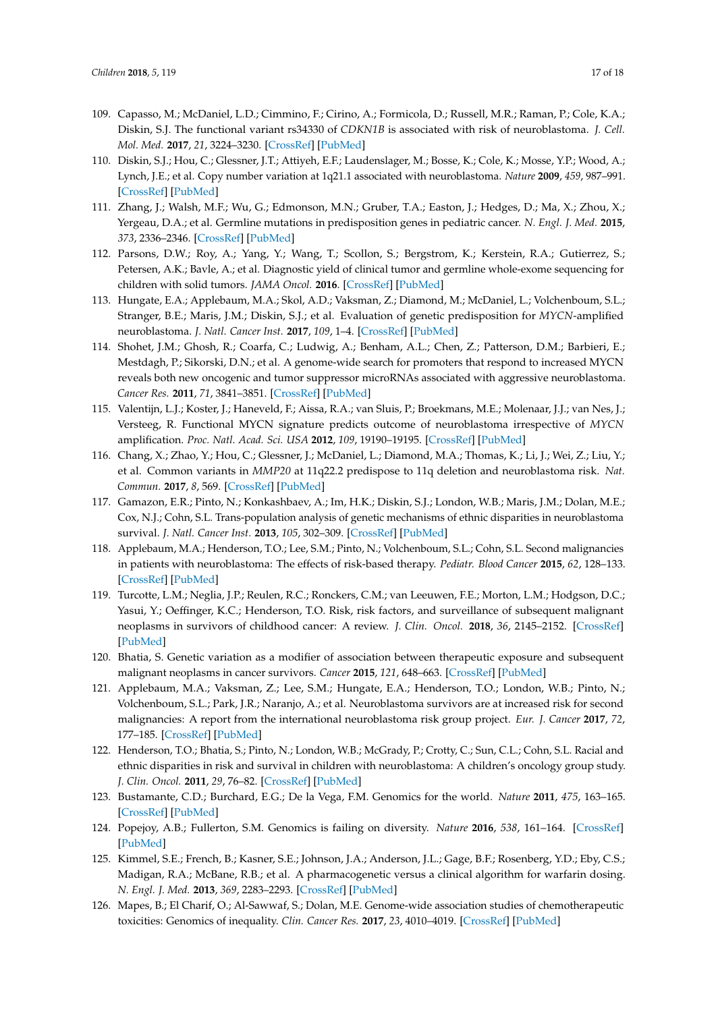- <span id="page-16-0"></span>109. Capasso, M.; McDaniel, L.D.; Cimmino, F.; Cirino, A.; Formicola, D.; Russell, M.R.; Raman, P.; Cole, K.A.; Diskin, S.J. The functional variant rs34330 of *CDKN1B* is associated with risk of neuroblastoma. *J. Cell. Mol. Med.* **2017**, *21*, 3224–3230. [\[CrossRef\]](http://dx.doi.org/10.1111/jcmm.13226) [\[PubMed\]](http://www.ncbi.nlm.nih.gov/pubmed/28667701)
- <span id="page-16-1"></span>110. Diskin, S.J.; Hou, C.; Glessner, J.T.; Attiyeh, E.F.; Laudenslager, M.; Bosse, K.; Cole, K.; Mosse, Y.P.; Wood, A.; Lynch, J.E.; et al. Copy number variation at 1q21.1 associated with neuroblastoma. *Nature* **2009**, *459*, 987–991. [\[CrossRef\]](http://dx.doi.org/10.1038/nature08035) [\[PubMed\]](http://www.ncbi.nlm.nih.gov/pubmed/19536264)
- <span id="page-16-2"></span>111. Zhang, J.; Walsh, M.F.; Wu, G.; Edmonson, M.N.; Gruber, T.A.; Easton, J.; Hedges, D.; Ma, X.; Zhou, X.; Yergeau, D.A.; et al. Germline mutations in predisposition genes in pediatric cancer. *N. Engl. J. Med.* **2015**, *373*, 2336–2346. [\[CrossRef\]](http://dx.doi.org/10.1056/NEJMoa1508054) [\[PubMed\]](http://www.ncbi.nlm.nih.gov/pubmed/26580448)
- <span id="page-16-3"></span>112. Parsons, D.W.; Roy, A.; Yang, Y.; Wang, T.; Scollon, S.; Bergstrom, K.; Kerstein, R.A.; Gutierrez, S.; Petersen, A.K.; Bavle, A.; et al. Diagnostic yield of clinical tumor and germline whole-exome sequencing for children with solid tumors. *JAMA Oncol.* **2016**. [\[CrossRef\]](http://dx.doi.org/10.1001/jamaoncol.2015.5699) [\[PubMed\]](http://www.ncbi.nlm.nih.gov/pubmed/26822237)
- <span id="page-16-4"></span>113. Hungate, E.A.; Applebaum, M.A.; Skol, A.D.; Vaksman, Z.; Diamond, M.; McDaniel, L.; Volchenboum, S.L.; Stranger, B.E.; Maris, J.M.; Diskin, S.J.; et al. Evaluation of genetic predisposition for *MYCN*-amplified neuroblastoma. *J. Natl. Cancer Inst.* **2017**, *109*, 1–4. [\[CrossRef\]](http://dx.doi.org/10.1093/jnci/djx093) [\[PubMed\]](http://www.ncbi.nlm.nih.gov/pubmed/29117357)
- <span id="page-16-5"></span>114. Shohet, J.M.; Ghosh, R.; Coarfa, C.; Ludwig, A.; Benham, A.L.; Chen, Z.; Patterson, D.M.; Barbieri, E.; Mestdagh, P.; Sikorski, D.N.; et al. A genome-wide search for promoters that respond to increased MYCN reveals both new oncogenic and tumor suppressor microRNAs associated with aggressive neuroblastoma. *Cancer Res.* **2011**, *71*, 3841–3851. [\[CrossRef\]](http://dx.doi.org/10.1158/0008-5472.CAN-10-4391) [\[PubMed\]](http://www.ncbi.nlm.nih.gov/pubmed/21498633)
- <span id="page-16-6"></span>115. Valentijn, L.J.; Koster, J.; Haneveld, F.; Aissa, R.A.; van Sluis, P.; Broekmans, M.E.; Molenaar, J.J.; van Nes, J.; Versteeg, R. Functional MYCN signature predicts outcome of neuroblastoma irrespective of *MYCN* amplification. *Proc. Natl. Acad. Sci. USA* **2012**, *109*, 19190–19195. [\[CrossRef\]](http://dx.doi.org/10.1073/pnas.1208215109) [\[PubMed\]](http://www.ncbi.nlm.nih.gov/pubmed/23091029)
- <span id="page-16-7"></span>116. Chang, X.; Zhao, Y.; Hou, C.; Glessner, J.; McDaniel, L.; Diamond, M.A.; Thomas, K.; Li, J.; Wei, Z.; Liu, Y.; et al. Common variants in *MMP20* at 11q22.2 predispose to 11q deletion and neuroblastoma risk. *Nat. Commun.* **2017**, *8*, 569. [\[CrossRef\]](http://dx.doi.org/10.1038/s41467-017-00408-8) [\[PubMed\]](http://www.ncbi.nlm.nih.gov/pubmed/28924153)
- <span id="page-16-8"></span>117. Gamazon, E.R.; Pinto, N.; Konkashbaev, A.; Im, H.K.; Diskin, S.J.; London, W.B.; Maris, J.M.; Dolan, M.E.; Cox, N.J.; Cohn, S.L. Trans-population analysis of genetic mechanisms of ethnic disparities in neuroblastoma survival. *J. Natl. Cancer Inst.* **2013**, *105*, 302–309. [\[CrossRef\]](http://dx.doi.org/10.1093/jnci/djs503) [\[PubMed\]](http://www.ncbi.nlm.nih.gov/pubmed/23243203)
- <span id="page-16-9"></span>118. Applebaum, M.A.; Henderson, T.O.; Lee, S.M.; Pinto, N.; Volchenboum, S.L.; Cohn, S.L. Second malignancies in patients with neuroblastoma: The effects of risk-based therapy. *Pediatr. Blood Cancer* **2015**, *62*, 128–133. [\[CrossRef\]](http://dx.doi.org/10.1002/pbc.25249) [\[PubMed\]](http://www.ncbi.nlm.nih.gov/pubmed/25251613)
- <span id="page-16-10"></span>119. Turcotte, L.M.; Neglia, J.P.; Reulen, R.C.; Ronckers, C.M.; van Leeuwen, F.E.; Morton, L.M.; Hodgson, D.C.; Yasui, Y.; Oeffinger, K.C.; Henderson, T.O. Risk, risk factors, and surveillance of subsequent malignant neoplasms in survivors of childhood cancer: A review. *J. Clin. Oncol.* **2018**, *36*, 2145–2152. [\[CrossRef\]](http://dx.doi.org/10.1200/JCO.2017.76.7764) [\[PubMed\]](http://www.ncbi.nlm.nih.gov/pubmed/29874133)
- <span id="page-16-11"></span>120. Bhatia, S. Genetic variation as a modifier of association between therapeutic exposure and subsequent malignant neoplasms in cancer survivors. *Cancer* **2015**, *121*, 648–663. [\[CrossRef\]](http://dx.doi.org/10.1002/cncr.29096) [\[PubMed\]](http://www.ncbi.nlm.nih.gov/pubmed/25355167)
- <span id="page-16-12"></span>121. Applebaum, M.A.; Vaksman, Z.; Lee, S.M.; Hungate, E.A.; Henderson, T.O.; London, W.B.; Pinto, N.; Volchenboum, S.L.; Park, J.R.; Naranjo, A.; et al. Neuroblastoma survivors are at increased risk for second malignancies: A report from the international neuroblastoma risk group project. *Eur. J. Cancer* **2017**, *72*, 177–185. [\[CrossRef\]](http://dx.doi.org/10.1016/j.ejca.2016.11.022) [\[PubMed\]](http://www.ncbi.nlm.nih.gov/pubmed/28033528)
- <span id="page-16-13"></span>122. Henderson, T.O.; Bhatia, S.; Pinto, N.; London, W.B.; McGrady, P.; Crotty, C.; Sun, C.L.; Cohn, S.L. Racial and ethnic disparities in risk and survival in children with neuroblastoma: A children's oncology group study. *J. Clin. Oncol.* **2011**, *29*, 76–82. [\[CrossRef\]](http://dx.doi.org/10.1200/JCO.2010.29.6103) [\[PubMed\]](http://www.ncbi.nlm.nih.gov/pubmed/21098321)
- <span id="page-16-14"></span>123. Bustamante, C.D.; Burchard, E.G.; De la Vega, F.M. Genomics for the world. *Nature* **2011**, *475*, 163–165. [\[CrossRef\]](http://dx.doi.org/10.1038/475163a) [\[PubMed\]](http://www.ncbi.nlm.nih.gov/pubmed/21753830)
- <span id="page-16-15"></span>124. Popejoy, A.B.; Fullerton, S.M. Genomics is failing on diversity. *Nature* **2016**, *538*, 161–164. [\[CrossRef\]](http://dx.doi.org/10.1038/538161a) [\[PubMed\]](http://www.ncbi.nlm.nih.gov/pubmed/27734877)
- <span id="page-16-16"></span>125. Kimmel, S.E.; French, B.; Kasner, S.E.; Johnson, J.A.; Anderson, J.L.; Gage, B.F.; Rosenberg, Y.D.; Eby, C.S.; Madigan, R.A.; McBane, R.B.; et al. A pharmacogenetic versus a clinical algorithm for warfarin dosing. *N. Engl. J. Med.* **2013**, *369*, 2283–2293. [\[CrossRef\]](http://dx.doi.org/10.1056/NEJMoa1310669) [\[PubMed\]](http://www.ncbi.nlm.nih.gov/pubmed/24251361)
- <span id="page-16-17"></span>126. Mapes, B.; El Charif, O.; Al-Sawwaf, S.; Dolan, M.E. Genome-wide association studies of chemotherapeutic toxicities: Genomics of inequality. *Clin. Cancer Res.* **2017**, *23*, 4010–4019. [\[CrossRef\]](http://dx.doi.org/10.1158/1078-0432.CCR-17-0429) [\[PubMed\]](http://www.ncbi.nlm.nih.gov/pubmed/28442506)